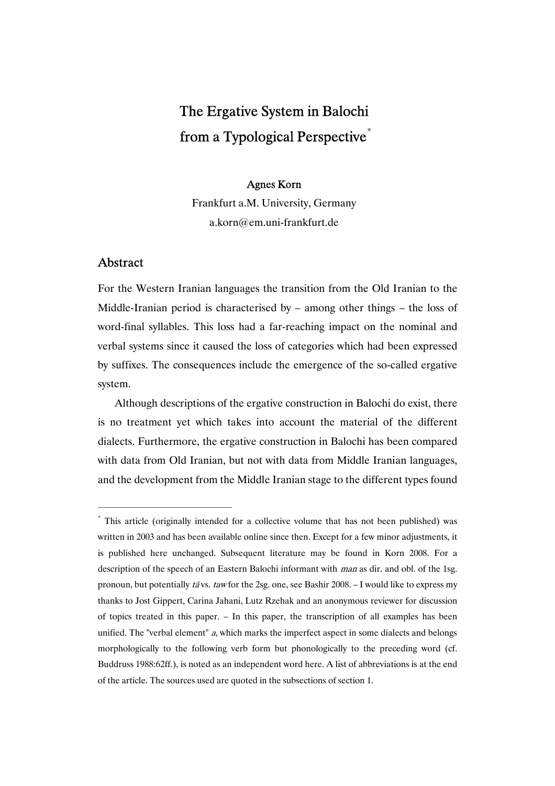# The Ergative System in Balochi from a Typological Perspective<sup>\*</sup>

#### Agnes Korn

Frankfurt a.M. University, Germany a.korn@em.uni-frankfurt.de

## Abstract

 $\overline{a}$ 

For the Western Iranian languages the transition from the Old Iranian to the Middle-Iranian period is characterised by – among other things – the loss of word-final syllables. This loss had a far-reaching impact on the nominal and verbal systems since it caused the loss of categories which had been expressed by suffixes. The consequences include the emergence of the so-called ergative system.

Although descriptions of the ergative construction in Balochi do exist, there is no treatment yet which takes into account the material of the different dialects. Furthermore, the ergative construction in Balochi has been compared with data from Old Iranian, but not with data from Middle Iranian languages, and the development from the Middle Iranian stage to the different types found

<sup>\*</sup> This article (originally intended for a collective volume that has not been published) was written in 2003 and has been available online since then. Except for a few minor adjustments, it is published here unchanged. Subsequent literature may be found in Korn 2008. For a description of the speech of an Eastern Balochi informant with *man* as dir. and obl. of the 1sg. pronoun, but potentially tā vs. taw for the 2sg. one, see Bashir 2008. – I would like to express my thanks to Jost Gippert, Carina Jahani, Lutz Rzehak and an anonymous reviewer for discussion of topics treated in this paper. – In this paper, the transcription of all examples has been unified. The "verbal element" a, which marks the imperfect aspect in some dialects and belongs morphologically to the following verb form but phonologically to the preceding word (cf. Buddruss 1988:62ff.), is noted as an independent word here. A list of abbreviations is at the end of the article. The sources used are quoted in the subsections of section 1.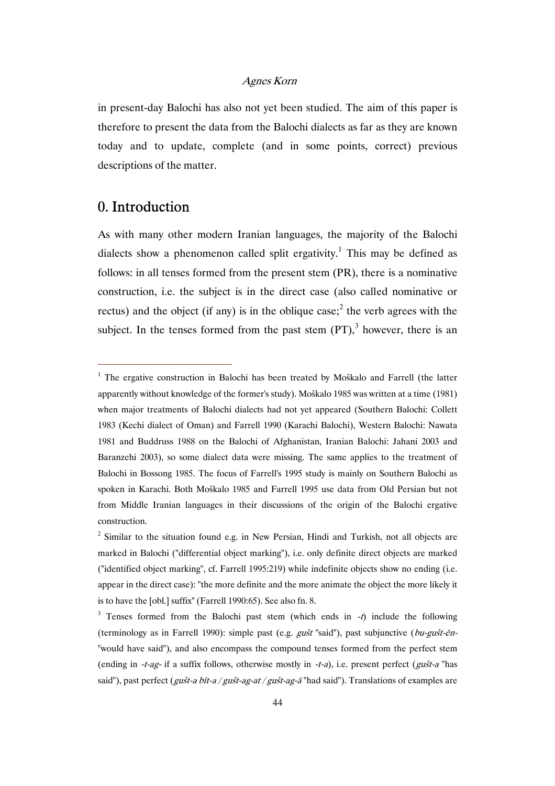in present-day Balochi has also not yet been studied. The aim of this paper is therefore to present the data from the Balochi dialects as far as they are known today and to update, complete (and in some points, correct) previous descriptions of the matter.

## 0. Introduction

 $\overline{a}$ 

As with many other modern Iranian languages, the majority of the Balochi dialects show a phenomenon called split ergativity.<sup>1</sup> This may be defined as follows: in all tenses formed from the present stem (PR), there is a nominative construction, i.e. the subject is in the direct case (also called nominative or rectus) and the object (if any) is in the oblique case;<sup>2</sup> the verb agrees with the subject. In the tenses formed from the past stem  $(PT)$ ,<sup>3</sup> however, there is an

<sup>&</sup>lt;sup>1</sup> The ergative construction in Balochi has been treated by Moškalo and Farrell (the latter apparently without knowledge of the former's study). Moškalo 1985 was written at a time (1981) when major treatments of Balochi dialects had not yet appeared (Southern Balochi: Collett 1983 (Kechi dialect of Oman) and Farrell 1990 (Karachi Balochi), Western Balochi: Nawata 1981 and Buddruss 1988 on the Balochi of Afghanistan, Iranian Balochi: Jahani 2003 and Baranzehi 2003), so some dialect data were missing. The same applies to the treatment of Balochi in Bossong 1985. The focus of Farrell's 1995 study is mainly on Southern Balochi as spoken in Karachi. Both Moškalo 1985 and Farrell 1995 use data from Old Persian but not from Middle Iranian languages in their discussions of the origin of the Balochi ergative construction.

 $2$  Similar to the situation found e.g. in New Persian, Hindi and Turkish, not all objects are marked in Balochi ("differential object marking"), i.e. only definite direct objects are marked ("identified object marking", cf. Farrell 1995:219) while indefinite objects show no ending (i.e. appear in the direct case): "the more definite and the more animate the object the more likely it is to have the [obl.] suffix" (Farrell 1990:65). See also fn. 8.

<sup>&</sup>lt;sup>3</sup> Tenses formed from the Balochi past stem (which ends in  $-t$ ) include the following (terminology as in Farrell 1990): simple past (e.g. *gušt* "said"), past subjunctive (*bu-gušt-ēn-*"would have said"), and also encompass the compound tenses formed from the perfect stem (ending in -t-ag- if a suffix follows, otherwise mostly in -t-a), i.e. present perfect (gust-a "has said"), past perfect (*gušt-a bīt-a / gušt-ag-at / gušt-ag-ā* "had said"). Translations of examples are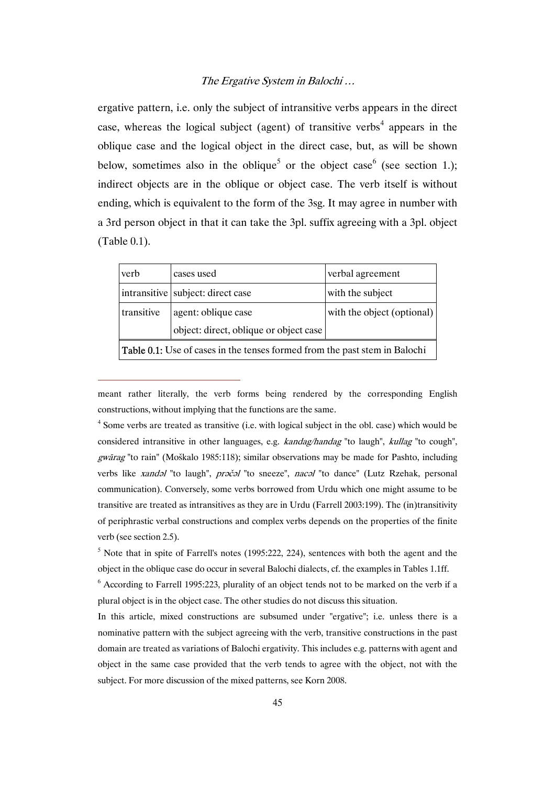ergative pattern, i.e. only the subject of intransitive verbs appears in the direct case, whereas the logical subject (agent) of transitive verbs<sup>4</sup> appears in the oblique case and the logical object in the direct case, but, as will be shown below, sometimes also in the oblique<sup>5</sup> or the object case<sup>6</sup> (see section 1.); indirect objects are in the oblique or object case. The verb itself is without ending, which is equivalent to the form of the 3sg. It may agree in number with a 3rd person object in that it can take the 3pl. suffix agreeing with a 3pl. object (Table 0.1).

| verb                                                                              | cases used                             | verbal agreement           |  |  |  |
|-----------------------------------------------------------------------------------|----------------------------------------|----------------------------|--|--|--|
|                                                                                   | intransitive subject: direct case      | with the subject           |  |  |  |
| transitive                                                                        | agent: oblique case                    | with the object (optional) |  |  |  |
|                                                                                   | object: direct, oblique or object case |                            |  |  |  |
| <b>Table 0.1:</b> Use of cases in the tenses formed from the past stem in Balochi |                                        |                            |  |  |  |

meant rather literally, the verb forms being rendered by the corresponding English constructions, without implying that the functions are the same.

 $\overline{a}$ 

<sup>4</sup> Some verbs are treated as transitive (i.e. with logical subject in the obl. case) which would be considered intransitive in other languages, e.g. *kandag/handag* "to laugh", *kullag* "to cough", *gwārag* "to rain" (Moškalo 1985:118); similar observations may be made for Pashto, including verbs like xandəl "to laugh", prəčəl "to sneeze", nacəl "to dance" (Lutz Rzehak, personal communication). Conversely, some verbs borrowed from Urdu which one might assume to be transitive are treated as intransitives as they are in Urdu (Farrell 2003:199). The (in)transitivity of periphrastic verbal constructions and complex verbs depends on the properties of the finite verb (see section 2.5).

 $<sup>5</sup>$  Note that in spite of Farrell's notes (1995:222, 224), sentences with both the agent and the</sup> object in the oblique case do occur in several Balochi dialects, cf. the examples in Tables 1.1ff.

<sup>6</sup> According to Farrell 1995:223, plurality of an object tends not to be marked on the verb if a plural object is in the object case. The other studies do not discuss this situation.

In this article, mixed constructions are subsumed under "ergative"; i.e. unless there is a nominative pattern with the subject agreeing with the verb, transitive constructions in the past domain are treated as variations of Balochi ergativity. This includes e.g. patterns with agent and object in the same case provided that the verb tends to agree with the object, not with the subject. For more discussion of the mixed patterns, see Korn 2008.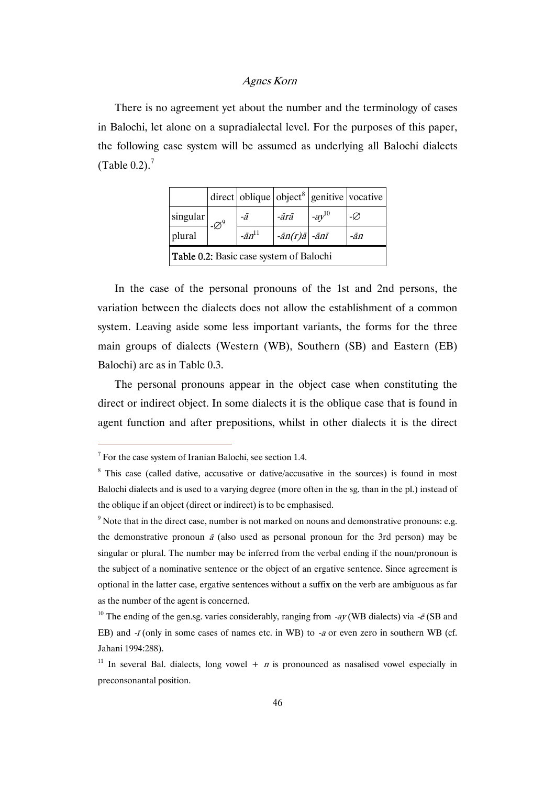There is no agreement yet about the number and the terminology of cases in Balochi, let alone on a supradialectal level. For the purposes of this paper, the following case system will be assumed as underlying all Balochi dialects (Table 0.2). $<sup>7</sup>$ </sup>

|                                                |  |                  |                                          |             | $\frac{1}{2}$ direct oblique object <sup>8</sup> genitive vocative |  |  |
|------------------------------------------------|--|------------------|------------------------------------------|-------------|--------------------------------------------------------------------|--|--|
| singular                                       |  | -ā               | -ārā                                     | $-a y^{10}$ | -Ø                                                                 |  |  |
| plural                                         |  | $-\bar{a}n^{11}$ | $-\bar{a}n(r)\bar{a}$ $-\bar{a}n\bar{t}$ |             | -ān                                                                |  |  |
| <b>Table 0.2:</b> Basic case system of Balochi |  |                  |                                          |             |                                                                    |  |  |

In the case of the personal pronouns of the 1st and 2nd persons, the variation between the dialects does not allow the establishment of a common system. Leaving aside some less important variants, the forms for the three main groups of dialects (Western (WB), Southern (SB) and Eastern (EB) Balochi) are as in Table 0.3.

The personal pronouns appear in the object case when constituting the direct or indirect object. In some dialects it is the oblique case that is found in agent function and after prepositions, whilst in other dialects it is the direct

 $7$  For the case system of Iranian Balochi, see section 1.4.

<sup>&</sup>lt;sup>8</sup> This case (called dative, accusative or dative/accusative in the sources) is found in most Balochi dialects and is used to a varying degree (more often in the sg. than in the pl.) instead of the oblique if an object (direct or indirect) is to be emphasised.

 $9$  Note that in the direct case, number is not marked on nouns and demonstrative pronouns: e.g. the demonstrative pronoun  $\bar{a}$  (also used as personal pronoun for the 3rd person) may be singular or plural. The number may be inferred from the verbal ending if the noun/pronoun is the subject of a nominative sentence or the object of an ergative sentence. Since agreement is optional in the latter case, ergative sentences without a suffix on the verb are ambiguous as far as the number of the agent is concerned.

<sup>&</sup>lt;sup>10</sup> The ending of the gen.sg. varies considerably, ranging from -ay (WB dialects) via - $\bar{e}$  (SB and EB) and -*ī* (only in some cases of names etc. in WB) to -*a* or even zero in southern WB (cf. Jahani 1994:288).

<sup>&</sup>lt;sup>11</sup> In several Bal. dialects, long vowel + *n* is pronounced as nasalised vowel especially in preconsonantal position.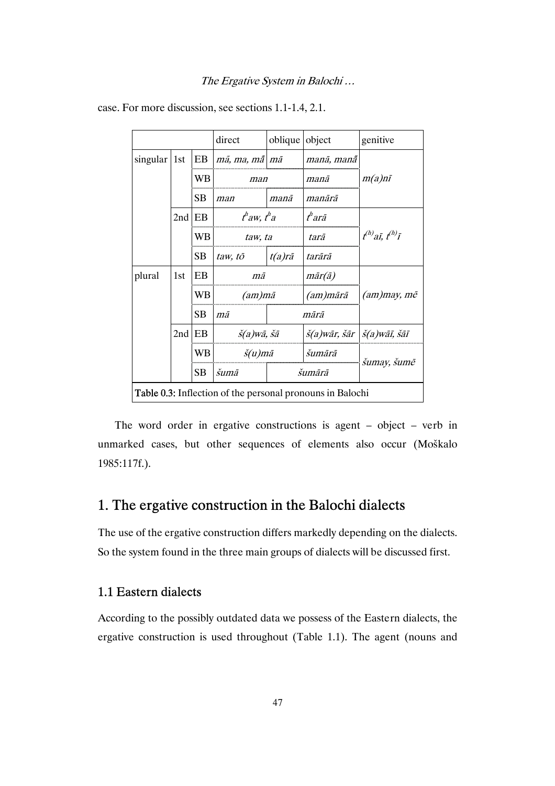|                  |                                                                  |           | direct                              | oblique object |                                                  | genitive                  |  |  |
|------------------|------------------------------------------------------------------|-----------|-------------------------------------|----------------|--------------------------------------------------|---------------------------|--|--|
| $singular$   1st |                                                                  | EB        | mã, ma, mã   mã                     |                | manā, manā                                       |                           |  |  |
|                  |                                                                  | WB        | man                                 |                | manā                                             | $m(a)$ nī                 |  |  |
|                  |                                                                  | SB        | man                                 | manā           | manārā                                           |                           |  |  |
|                  | 2nd                                                              | EB        | t <sup>h</sup> aw, t <sup>h</sup> a |                | t <sup>h</sup> arā                               |                           |  |  |
|                  |                                                                  | WВ        | taw, ta                             |                | tarā                                             | $t^{(h)}$ aī, $t^{(h)}$ ī |  |  |
|                  |                                                                  | SB        | taw, tō                             | $t(a)r\bar{a}$ | tarārā                                           |                           |  |  |
| plural           | 1st                                                              | EB        | mā                                  |                | $m\bar{a}r(\bar{a})$                             |                           |  |  |
|                  |                                                                  | WВ        | (am)mā                              |                | (am)mārā                                         | $(am)$ may, mē            |  |  |
|                  |                                                                  | <b>SB</b> | mā                                  | mārā           |                                                  |                           |  |  |
|                  | EB<br>2nd                                                        |           | $\check{s}(a)$ wā, šā               |                | $\check{s}(a)$ wār, šār $ \check{s}(a)$ wāī, šāī |                           |  |  |
|                  |                                                                  | WB        | $\check{s}(u)$ mā                   |                | šumārā                                           |                           |  |  |
|                  | SB                                                               |           | šumā                                | šumārā         |                                                  | šumay, šumē               |  |  |
|                  | <b>Table 0.3:</b> Inflection of the personal pronouns in Balochi |           |                                     |                |                                                  |                           |  |  |

case. For more discussion, see sections 1.1-1.4, 2.1.

The word order in ergative constructions is agent – object – verb in unmarked cases, but other sequences of elements also occur (Moškalo 1985:117f.).

# 1. The ergative construction in the Balochi dialects

The use of the ergative construction differs markedly depending on the dialects. So the system found in the three main groups of dialects will be discussed first.

## 1.1 Eastern dialects

According to the possibly outdated data we possess of the Eastern dialects, the ergative construction is used throughout (Table 1.1). The agent (nouns and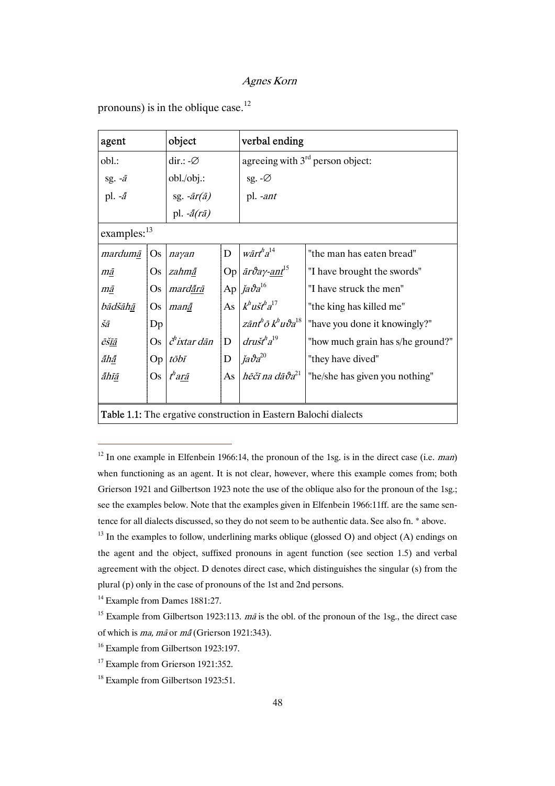| agent                                                            |           | object                                             | verbal ending |                                                      |                                   |  |
|------------------------------------------------------------------|-----------|----------------------------------------------------|---------------|------------------------------------------------------|-----------------------------------|--|
| obl.:                                                            |           | dir.: $-\varnothing$                               |               | agreeing with $3rd$ person object:                   |                                   |  |
| sg. $-\bar{a}$                                                   |           | obl./obj.:                                         |               | sg. $-\varnothing$                                   |                                   |  |
| pl. $-\tilde{a}$                                                 |           |                                                    |               | pl. -ant                                             |                                   |  |
|                                                                  |           | sg. - $ar(\bar{a})$<br>pl. - $\tilde{a}(r\bar{a})$ |               |                                                      |                                   |  |
| examples: <sup>13</sup>                                          |           |                                                    |               |                                                      |                                   |  |
| mardumā                                                          | <b>Os</b> | nayan                                              | D             | $w\bar{a}r\bar{t}^{h}a^{14}$                         | "the man has eaten bread"         |  |
| mā                                                               | Os        | zahmā                                              |               | Op $\bar{a}r\vartheta a\gamma\text{-}ant^{15}$       | "I have brought the swords"       |  |
| mā                                                               | <b>Os</b> | mardārā                                            |               | Ap $ja\vartheta a^{16}$                              | "I have struck the men"           |  |
| bādšāhā                                                          | <b>Os</b> | manã                                               |               | As $k^h u \check{s} t^h a^{17}$                      | "the king has killed me"          |  |
| šā                                                               | Dp        |                                                    |               | zānt ${}^b\bar{o}\,k^{\mathcal{h}}u\vartheta a^{18}$ | "have you done it knowingly?"     |  |
| ēšīā                                                             | Os.       | $\check{c}^h$ ixtar dān                            | $\mathbf{D}$  | $dru\check{s}t^h a^{19}$                             | "how much grain has s/he ground?" |  |
| ãhã                                                              |           | $Op$ tōbī                                          | D             | $ja\vartheta a^{20}$                                 | "they have dived"                 |  |
| ãhīā                                                             | Os        | $th$ arā                                           |               | As $h\bar{e}$ ci na da $\vartheta a^{21}$            | "he/she has given you nothing"    |  |
|                                                                  |           |                                                    |               |                                                      |                                   |  |
| Table 1.1: The ergative construction in Eastern Balochi dialects |           |                                                    |               |                                                      |                                   |  |

pronouns) is in the oblique case.<sup>12</sup>

<sup>&</sup>lt;sup>12</sup> In one example in Elfenbein 1966:14, the pronoun of the 1sg. is in the direct case (i.e. *man*) when functioning as an agent. It is not clear, however, where this example comes from; both Grierson 1921 and Gilbertson 1923 note the use of the oblique also for the pronoun of the 1sg.; see the examples below. Note that the examples given in Elfenbein 1966:11ff. are the same sentence for all dialects discussed, so they do not seem to be authentic data. See also fn. \* above.

 $^{13}$  In the examples to follow, underlining marks oblique (glossed O) and object (A) endings on the agent and the object, suffixed pronouns in agent function (see section 1.5) and verbal agreement with the object. D denotes direct case, which distinguishes the singular (s) from the plural (p) only in the case of pronouns of the 1st and 2nd persons.

<sup>&</sup>lt;sup>14</sup> Example from Dames 1881:27.

<sup>&</sup>lt;sup>15</sup> Example from Gilbertson 1923:113.  $m\bar{a}$  is the obl. of the pronoun of the 1sg., the direct case of which is ma, mã or mã (Grierson 1921:343).

<sup>&</sup>lt;sup>16</sup> Example from Gilbertson 1923:197.

<sup>&</sup>lt;sup>17</sup> Example from Grierson 1921:352.

<sup>&</sup>lt;sup>18</sup> Example from Gilbertson 1923:51.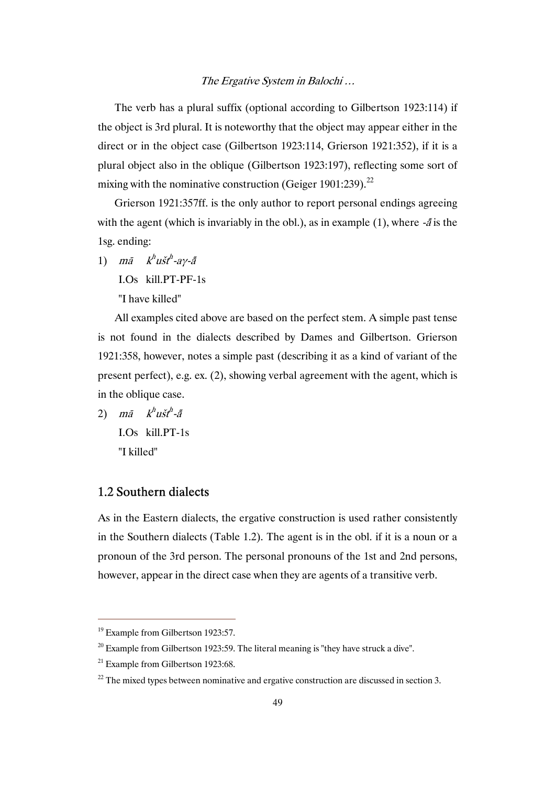The verb has a plural suffix (optional according to Gilbertson 1923:114) if the object is 3rd plural. It is noteworthy that the object may appear either in the direct or in the object case (Gilbertson 1923:114, Grierson 1921:352), if it is a plural object also in the oblique (Gilbertson 1923:197), reflecting some sort of mixing with the nominative construction (Geiger 1901:239).<sup>22</sup>

Grierson 1921:357ff. is the only author to report personal endings agreeing with the agent (which is invariably in the obl.), as in example (1), where  $-\tilde{a}$  is the 1sg. ending:

1) mā  $k^h u \check{s} t^h$ -ay- $\tilde{a}$ 

I.Os kill.PT-PF-1s

"I have killed"

All examples cited above are based on the perfect stem. A simple past tense is not found in the dialects described by Dames and Gilbertson. Grierson 1921:358, however, notes a simple past (describing it as a kind of variant of the present perfect), e.g. ex. (2), showing verbal agreement with the agent, which is in the oblique case.

2)  $m\bar{a}$   $k^h u \check{s} t^h$ - $\tilde{a}$  I.Os kill.PT-1s "I killed"

## 1.2 Southern dialects

As in the Eastern dialects, the ergative construction is used rather consistently in the Southern dialects (Table 1.2). The agent is in the obl. if it is a noun or a pronoun of the 3rd person. The personal pronouns of the 1st and 2nd persons, however, appear in the direct case when they are agents of a transitive verb.

 $19$  Example from Gilbertson 1923:57.

 $20$  Example from Gilbertson 1923:59. The literal meaning is "they have struck a dive".

 $21$  Example from Gilbertson 1923:68.

 $22$  The mixed types between nominative and ergative construction are discussed in section 3.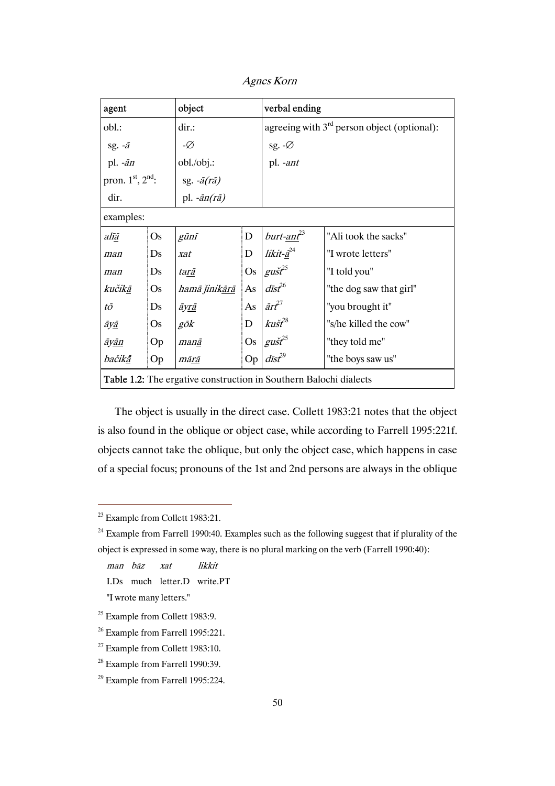| object<br>agent                                                          |                           |               |                                               | verbal ending                    |                         |  |  |
|--------------------------------------------------------------------------|---------------------------|---------------|-----------------------------------------------|----------------------------------|-------------------------|--|--|
| obl.:<br>dir.:                                                           |                           |               | agreeing with $3rd$ person object (optional): |                                  |                         |  |  |
| sg. $-\bar{a}$                                                           | -Ø                        |               | sg. - $\varnothing$                           |                                  |                         |  |  |
| pl. $-\bar{a}n$                                                          |                           | obl. / obj.:  |                                               | pl. -ant                         |                         |  |  |
| pron. $1st$ , $2nd$ :<br>sg. $-\bar{a}(r\bar{a})$                        |                           |               |                                               |                                  |                         |  |  |
| dir.                                                                     | pl. $-\bar{a}n(r\bar{a})$ |               |                                               |                                  |                         |  |  |
| examples:                                                                |                           |               |                                               |                                  |                         |  |  |
| alīā                                                                     | <b>Os</b>                 | gūnī          | $\mathbf D$                                   | burt-ant <sup>23</sup>           | "Ali took the sacks"    |  |  |
| man                                                                      | Ds                        | xat           | $\mathbf D$                                   | likit-a <sup>24</sup>            | "I wrote letters"       |  |  |
| man                                                                      | Ds                        | tarā          | Os                                            | $gu\check{s}t^{25}$              | "I told you"            |  |  |
| kučikā                                                                   | <b>Os</b>                 | hamā jinikārā | As                                            | $d\bar{\rm i} s\hat{\rm f}^{26}$ | "the dog saw that girl" |  |  |
| tō                                                                       | Ds                        | āy <u>rā</u>  | As                                            | $\bar{a}r^{27}$                  | "you brought it"        |  |  |
| āyā                                                                      | Os                        | gōk           | D                                             | $k$ ušt $^{28}$                  | "s/he killed the cow"   |  |  |
| āyān                                                                     | Op                        | manā          | <b>Os</b>                                     | $g\tilde{u}$ st <sup>25</sup>    | "they told me"          |  |  |
| bačikā                                                                   | Op                        | mārā          | Op                                            | $d\bar{\rm i} s t^{29}$          | "the boys saw us"       |  |  |
| <b>Table 1.2:</b> The ergative construction in Southern Balochi dialects |                           |               |                                               |                                  |                         |  |  |

Agnes Korn

The object is usually in the direct case. Collett 1983:21 notes that the object is also found in the oblique or object case, while according to Farrell 1995:221f. objects cannot take the oblique, but only the object case, which happens in case of a special focus; pronouns of the 1st and 2nd persons are always in the oblique

 $\overline{a}$ 

man bāz xat likkit I.Ds much letter.D write.PT

"I wrote many letters."

<sup>&</sup>lt;sup>23</sup> Example from Collett 1983:21.

 $24$  Example from Farrell 1990:40. Examples such as the following suggest that if plurality of the object is expressed in some way, there is no plural marking on the verb (Farrell 1990:40):

 $25$  Example from Collett 1983:9.

<sup>&</sup>lt;sup>26</sup> Example from Farrell 1995:221.

<sup>27</sup> Example from Collett 1983:10.

<sup>&</sup>lt;sup>28</sup> Example from Farrell 1990:39.

<sup>29</sup> Example from Farrell 1995:224.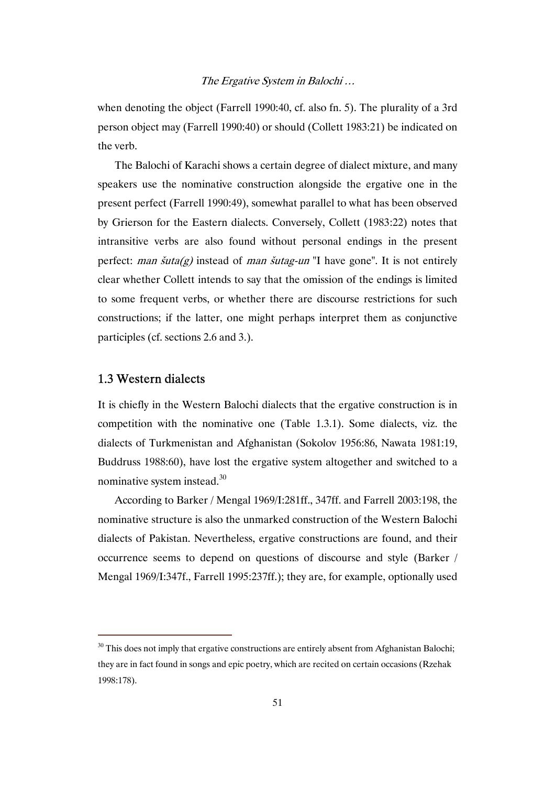when denoting the object (Farrell 1990:40, cf. also fn. 5). The plurality of a 3rd person object may (Farrell 1990:40) or should (Collett 1983:21) be indicated on the verb.

The Balochi of Karachi shows a certain degree of dialect mixture, and many speakers use the nominative construction alongside the ergative one in the present perfect (Farrell 1990:49), somewhat parallel to what has been observed by Grierson for the Eastern dialects. Conversely, Collett (1983:22) notes that intransitive verbs are also found without personal endings in the present perfect: man  $\tilde{\mathfrak{su}}$  instead of man  $\tilde{\mathfrak{su}}$  and  $\tilde{\mathfrak{su}}$  and  $\tilde{\mathfrak{su}}$  and  $\tilde{\mathfrak{su}}$  is not entirely clear whether Collett intends to say that the omission of the endings is limited to some frequent verbs, or whether there are discourse restrictions for such constructions; if the latter, one might perhaps interpret them as conjunctive participles (cf. sections 2.6 and 3.).

## 1.3 Western dialects

 $\overline{a}$ 

It is chiefly in the Western Balochi dialects that the ergative construction is in competition with the nominative one (Table 1.3.1). Some dialects, viz. the dialects of Turkmenistan and Afghanistan (Sokolov 1956:86, Nawata 1981:19, Buddruss 1988:60), have lost the ergative system altogether and switched to a nominative system instead. $30$ 

According to Barker / Mengal 1969/I:281ff., 347ff. and Farrell 2003:198, the nominative structure is also the unmarked construction of the Western Balochi dialects of Pakistan. Nevertheless, ergative constructions are found, and their occurrence seems to depend on questions of discourse and style (Barker / Mengal 1969/I:347f., Farrell 1995:237ff.); they are, for example, optionally used

 $30$  This does not imply that ergative constructions are entirely absent from Afghanistan Balochi; they are in fact found in songs and epic poetry, which are recited on certain occasions (Rzehak 1998:178).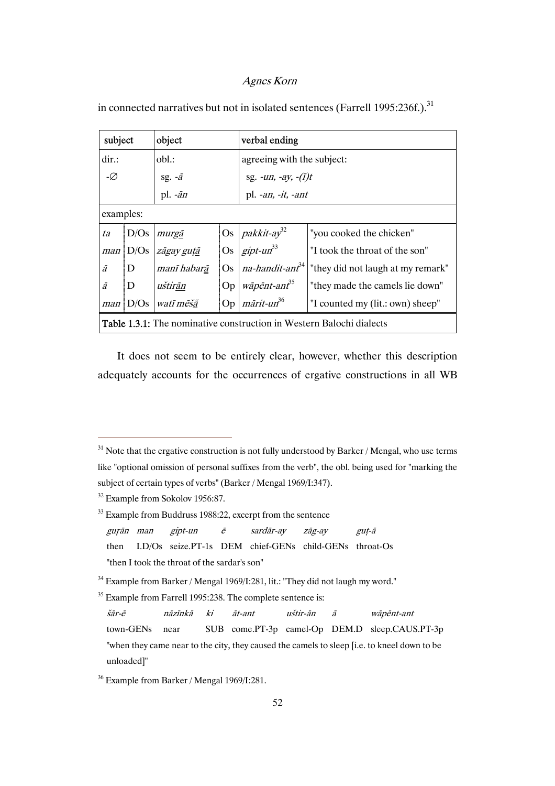| subject<br>object                                                           |              |                         |           | verbal ending                                                                  |                                   |  |  |
|-----------------------------------------------------------------------------|--------------|-------------------------|-----------|--------------------------------------------------------------------------------|-----------------------------------|--|--|
| dir.                                                                        |              | obl.:                   |           | agreeing with the subject:                                                     |                                   |  |  |
| -Ø                                                                          |              | sg. $-\bar{a}$          |           | sg. - <i>un</i> , - <i>ay</i> , - $(i)t$                                       |                                   |  |  |
|                                                                             |              | pl. $-\bar{a}n$         |           | pl. -an, -it, -ant                                                             |                                   |  |  |
|                                                                             | examples:    |                         |           |                                                                                |                                   |  |  |
| ta                                                                          | D/Os         | murgā                   |           | Os $pakkit-ay32$                                                               | "you cooked the chicken"          |  |  |
|                                                                             |              | man   D/Os   zāgay gutā | <b>Os</b> | $gipt-un^{33}$                                                                 | "I took the throat of the son"    |  |  |
| ā                                                                           | D            | manī habarā             |           | Os $na$ -handit-ant <sup>34</sup>                                              | "they did not laugh at my remark" |  |  |
| ā                                                                           | ID.          | uštirān                 | Op        | $w\bar{a}p\bar{e}nt$ -ant <sup>35</sup><br>"they made the camels lie down"     |                                   |  |  |
|                                                                             | $man$ $D/Os$ | watī mēšā               |           | Op $\left  \right.$ mārit-un <sup>36</sup><br>"I counted my (lit.: own) sheep" |                                   |  |  |
| <b>Table 1.3.1:</b> The nominative construction in Western Balochi dialects |              |                         |           |                                                                                |                                   |  |  |

in connected narratives but not in isolated sentences (Farrell 1995:236f.).<sup>31</sup>

 It does not seem to be entirely clear, however, whether this description adequately accounts for the occurrences of ergative constructions in all WB

 $31$  Note that the ergative construction is not fully understood by Barker / Mengal, who use terms like "optional omission of personal suffixes from the verb", the obl. being used for "marking the subject of certain types of verbs" (Barker / Mengal 1969/I:347).

<sup>&</sup>lt;sup>32</sup> Example from Sokolov 1956:87.

<sup>&</sup>lt;sup>33</sup> Example from Buddruss 1988:22, excerpt from the sentence

guṛān man gipt-un ē sardār-ay zāg-ay guṭ-ā

then I.D/Os seize.PT-1s DEM chief-GENs child-GENs throat-Os "then I took the throat of the sardar's son"

<sup>&</sup>lt;sup>34</sup> Example from Barker / Mengal 1969/I:281, lit.: "They did not laugh my word."

<sup>&</sup>lt;sup>35</sup> Example from Farrell 1995:238. The complete sentence is:

šār-ē nāzīnkā ki āt-ant uštir-ān ā wāpēnt-ant town-GENs near SUB come.PT-3p camel-Op DEM.D sleep.CAUS.PT-3p "when they came near to the city, they caused the camels to sleep [i.e. to kneel down to be unloaded]"

<sup>36</sup> Example from Barker / Mengal 1969/I:281.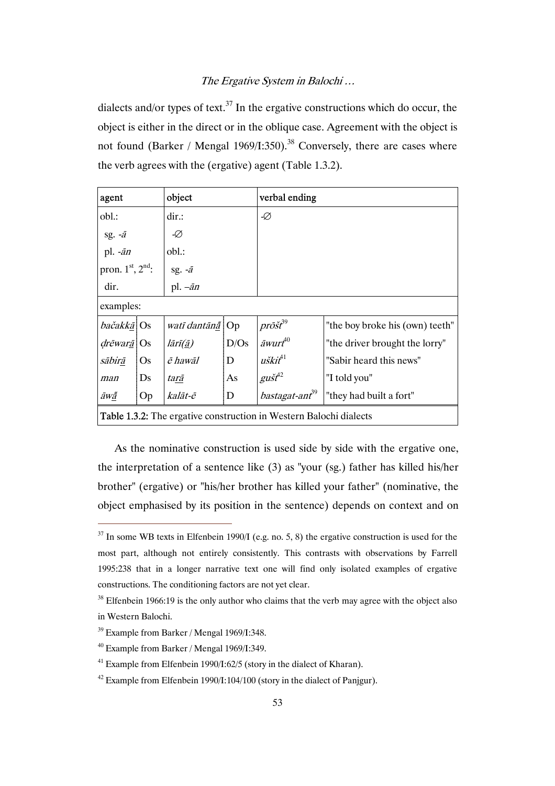dialects and/or types of text.<sup>37</sup> In the ergative constructions which do occur, the object is either in the direct or in the oblique case. Agreement with the object is not found (Barker / Mengal 1969/I:350).<sup>38</sup> Conversely, there are cases where the verb agrees with the (ergative) agent (Table 1.3.2).

| object<br>agent                                                           |           |                                       |      | verbal ending               |                                 |  |
|---------------------------------------------------------------------------|-----------|---------------------------------------|------|-----------------------------|---------------------------------|--|
| obl.:                                                                     |           | dir.                                  |      | -Ø                          |                                 |  |
| sg. $-\bar{a}$                                                            |           | -Ø                                    |      |                             |                                 |  |
| pl. $-\bar{a}n$                                                           |           | obl.:                                 |      |                             |                                 |  |
| pron. 1st, 2nd:                                                           |           | sg. $-\bar{a}$                        |      |                             |                                 |  |
| dir.                                                                      |           | pl. $-\bar{a}n$                       |      |                             |                                 |  |
| examples:                                                                 |           |                                       |      |                             |                                 |  |
| <i>bačakkā</i> Os                                                         |           | watī dantānā   Op                     |      | $pr\bar{o} \check{st}^{39}$ | "the boy broke his (own) teeth" |  |
| <i>drēwarā</i> Os                                                         |           | $l\bar{a}$ rī $(\underline{\bar{a}})$ | D/Os | $\bar{a}$ wurt $f^{40}$     | "the driver brought the lorry"  |  |
| sābirā                                                                    | <b>Os</b> | ē hawāl                               | D    | $u\check{s}ki^{41}$         | "Sabir heard this news"         |  |
| man                                                                       | Ds        | tarā                                  | As   | $g$ ušt $f^2$               | "I told you"                    |  |
| āw <u>ā</u>                                                               | Op        | kalāt-ē                               | D    | bastagat-ant <sup>39</sup>  | "they had built a fort"         |  |
| <b>Table 1.3.2:</b> The ergative construction in Western Balochi dialects |           |                                       |      |                             |                                 |  |

As the nominative construction is used side by side with the ergative one, the interpretation of a sentence like (3) as "your (sg.) father has killed his/her brother" (ergative) or "his/her brother has killed your father" (nominative, the object emphasised by its position in the sentence) depends on context and on

 $37$  In some WB texts in Elfenbein 1990/I (e.g. no. 5, 8) the ergative construction is used for the most part, although not entirely consistently. This contrasts with observations by Farrell 1995:238 that in a longer narrative text one will find only isolated examples of ergative constructions. The conditioning factors are not yet clear.

 $38$  Elfenbein 1966:19 is the only author who claims that the verb may agree with the object also in Western Balochi.

<sup>39</sup> Example from Barker / Mengal 1969/I:348.

<sup>40</sup> Example from Barker / Mengal 1969/I:349.

<sup>&</sup>lt;sup>41</sup> Example from Elfenbein 1990/I:62/5 (story in the dialect of Kharan).

 $42$  Example from Elfenbein 1990/I:104/100 (story in the dialect of Panjgur).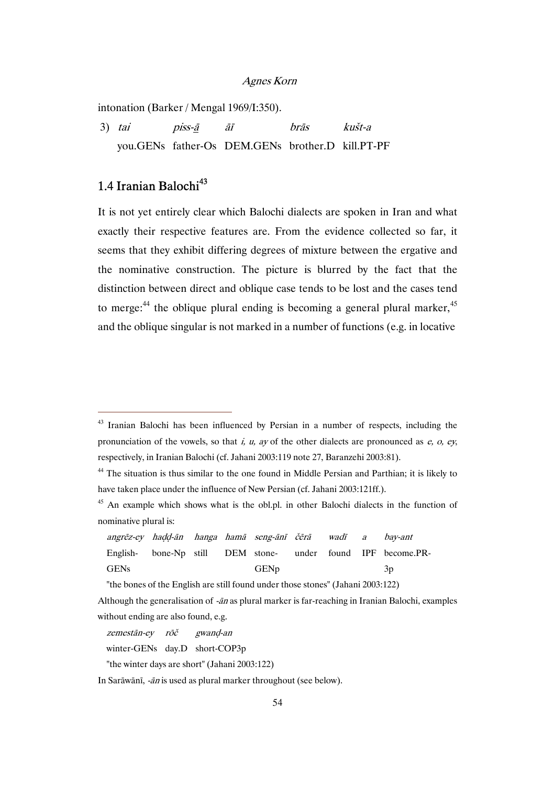intonation (Barker / Mengal 1969/I:350).

 3) tai piss-ā āī brās kušt-a you.GENs father-Os DEM.GENs brother.D kill.PT-PF

# 1.4 Iranian Balochi<sup>43</sup>

 $\overline{a}$ 

It is not yet entirely clear which Balochi dialects are spoken in Iran and what exactly their respective features are. From the evidence collected so far, it seems that they exhibit differing degrees of mixture between the ergative and the nominative construction. The picture is blurred by the fact that the distinction between direct and oblique case tends to be lost and the cases tend to merge:<sup>44</sup> the oblique plural ending is becoming a general plural marker,  $45$ and the oblique singular is not marked in a number of functions (e.g. in locative

<sup>&</sup>lt;sup>43</sup> Iranian Balochi has been influenced by Persian in a number of respects, including the pronunciation of the vowels, so that i, u, ay of the other dialects are pronounced as  $e$ ,  $o$ ,  $ey$ , respectively, in Iranian Balochi (cf. Jahani 2003:119 note 27, Baranzehi 2003:81).

<sup>&</sup>lt;sup>44</sup> The situation is thus similar to the one found in Middle Persian and Parthian; it is likely to have taken place under the influence of New Persian (cf. Jahani 2003:121ff.).

<sup>&</sup>lt;sup>45</sup> An example which shows what is the obl.pl. in other Balochi dialects in the function of nominative plural is:

angrēz-ey haḍḍ-ān hanga hamā seng-ānī čērā wadī a bay-ant English-GENs bone-Np still DEM stone-**GEN<sub>p</sub>** under found IPF become.PR-3p

 <sup>&</sup>quot;the bones of the English are still found under those stones" (Jahani 2003:122)

Although the generalisation of  $-\bar{a}n$  as plural marker is far-reaching in Iranian Balochi, examples without ending are also found, e.g.

zemestān-ey rōč gwanḍ-an

winter-GENs day.D short-COP3p

 <sup>&</sup>quot;the winter days are short" (Jahani 2003:122)

In Sarāwānī, -ān is used as plural marker throughout (see below).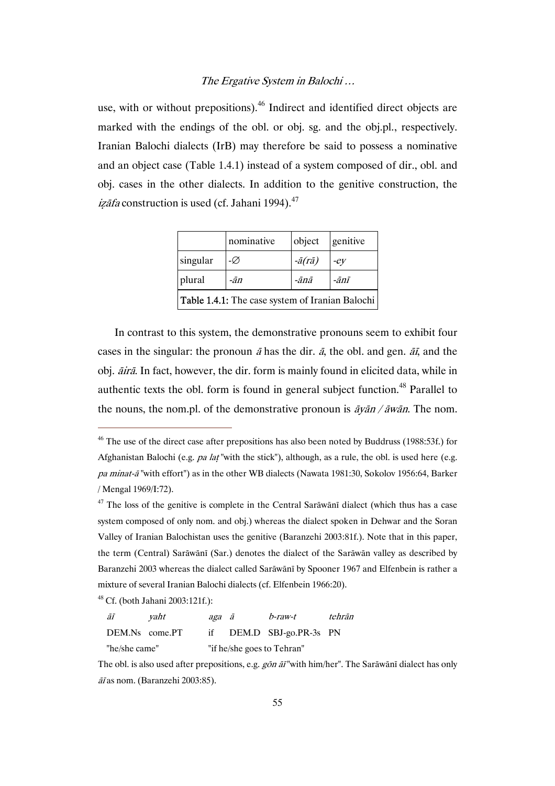use, with or without prepositions).<sup>46</sup> Indirect and identified direct objects are marked with the endings of the obl. or obj. sg. and the obj.pl., respectively. Iranian Balochi dialects (IrB) may therefore be said to possess a nominative and an object case (Table 1.4.1) instead of a system composed of dir., obl. and obj. cases in the other dialects. In addition to the genitive construction, the izāfa construction is used (cf. Jahani 1994). $47$ 

|                                                        | nominative | object               | genitive |  |  |
|--------------------------------------------------------|------------|----------------------|----------|--|--|
| singular                                               | -Ø         | $-\bar{a}(r\bar{a})$ | $-eV$    |  |  |
| plural                                                 | -ān        | -ānā                 | -ānī     |  |  |
| <b>Table 1.4.1:</b> The case system of Iranian Balochi |            |                      |          |  |  |

In contrast to this system, the demonstrative pronouns seem to exhibit four cases in the singular: the pronoun  $\bar{a}$  has the dir.  $\bar{a}$ , the obl. and gen.  $\bar{a}\bar{t}$ , and the obj. āirā. In fact, however, the dir. form is mainly found in elicited data, while in authentic texts the obl. form is found in general subject function.<sup>48</sup> Parallel to the nouns, the nom.pl. of the demonstrative pronoun is  $\frac{\partial v}{\partial n}$  /  $\frac{\partial w}{\partial n}$ . The nom.

 $48$  Cf. (both Jahani 2003:121f.):

 $\overline{a}$ 

āī yaht aga ā b-raw-t tehrān DEM.Ns come.PT if DEM.D SBJ-go.PR-3s PN "he/she came" "if he/she goes to Tehran"

The obl. is also used after prepositions, e.g. gon an ivith him/her". The Sarawani dialect has only āī as nom. (Baranzehi 2003:85).

<sup>&</sup>lt;sup>46</sup> The use of the direct case after prepositions has also been noted by Buddruss (1988:53f.) for Afghanistan Balochi (e.g. *pa lat* "with the stick"), although, as a rule, the obl. is used here (e.g. pa minat-ā "with effort") as in the other WB dialects (Nawata 1981:30, Sokolov 1956:64, Barker / Mengal 1969/I:72).

 $47$  The loss of the genitive is complete in the Central Sarāwānī dialect (which thus has a case system composed of only nom. and obj.) whereas the dialect spoken in Dehwar and the Soran Valley of Iranian Balochistan uses the genitive (Baranzehi 2003:81f.). Note that in this paper, the term (Central) Sarāwānī (Sar.) denotes the dialect of the Sarāwān valley as described by Baranzehi 2003 whereas the dialect called Sarāwānī by Spooner 1967 and Elfenbein is rather a mixture of several Iranian Balochi dialects (cf. Elfenbein 1966:20).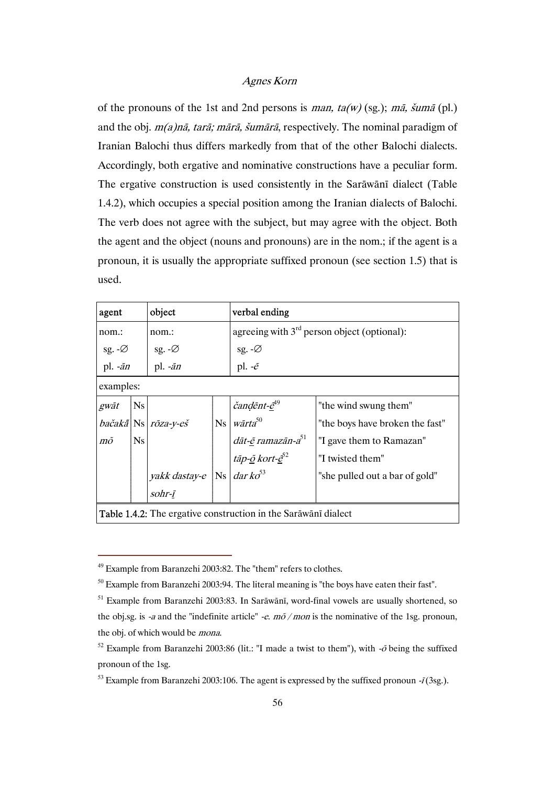of the pronouns of the 1st and 2nd persons is man,  $ta(w)$  (sg.); mā, šumā (pl.) and the obj. m(a)nā, tarā; mārā, šumārā, respectively. The nominal paradigm of Iranian Balochi thus differs markedly from that of the other Balochi dialects. Accordingly, both ergative and nominative constructions have a peculiar form. The ergative construction is used consistently in the Sarāwānī dialect (Table 1.4.2), which occupies a special position among the Iranian dialects of Balochi. The verb does not agree with the subject, but may agree with the object. Both the agent and the object (nouns and pronouns) are in the nom.; if the agent is a pronoun, it is usually the appropriate suffixed pronoun (see section 1.5) that is used.

| agent                                                                 |                 | object                                         |  | verbal ending                                                                                                                 |                                 |  |  |
|-----------------------------------------------------------------------|-----------------|------------------------------------------------|--|-------------------------------------------------------------------------------------------------------------------------------|---------------------------------|--|--|
| nom.:                                                                 |                 | nom.:                                          |  | agreeing with $3rd$ person object (optional):                                                                                 |                                 |  |  |
| sg. $-\varnothing$                                                    |                 | sg. $-\varnothing$                             |  |                                                                                                                               |                                 |  |  |
| pl. $-\bar{a}n$                                                       | pl. $-\bar{a}n$ |                                                |  | sg. -Ø<br>pl. - $\tilde{e}$                                                                                                   |                                 |  |  |
| examples:                                                             |                 |                                                |  |                                                                                                                               |                                 |  |  |
| gwāt                                                                  | <b>Ns</b>       |                                                |  |                                                                                                                               | "the wind swung them"           |  |  |
|                                                                       |                 | $ba\check{c}ak\check{a}$ Ns $r\bar{o}za$ -y-eš |  | $\bigg $ Ns $\bigg $ $\check{c}$ and $\check{e}$ nt $\hat{e}^{49}$                                                            | "the boys have broken the fast" |  |  |
| mõ                                                                    | <b>Ns</b>       |                                                |  | dāt-ē ramazān-a51                                                                                                             | "I gave them to Ramazan"        |  |  |
|                                                                       |                 |                                                |  |                                                                                                                               | "I twisted them"                |  |  |
|                                                                       |                 |                                                |  |                                                                                                                               | "she pulled out a bar of gold"  |  |  |
|                                                                       |                 |                                                |  | $\frac{z \tan \theta z}{z}$<br>$\sqrt{z}$ vakk dastay-e $\sqrt{N}$ $\frac{z \tan \theta z}{z}$<br>$\frac{z \tan \theta z}{z}$ |                                 |  |  |
| <b>Table 1.4.2:</b> The ergative construction in the Sarawani dialect |                 |                                                |  |                                                                                                                               |                                 |  |  |

<sup>49</sup> Example from Baranzehi 2003:82. The "them" refers to clothes.

 $50$  Example from Baranzehi 2003:94. The literal meaning is "the boys have eaten their fast".

<sup>51</sup> Example from Baranzehi 2003:83. In Sarāwānī, word-final vowels are usually shortened, so the obj.sg. is -a and the "indefinite article" -e.  $m\tilde{o}/mon$  is the nominative of the 1sg. pronoun, the obj. of which would be mona.

<sup>&</sup>lt;sup>52</sup> Example from Baranzehi 2003:86 (lit.: "I made a twist to them"), with  $-\tilde{o}$  being the suffixed pronoun of the 1sg.

<sup>&</sup>lt;sup>53</sup> Example from Baranzehi 2003:106. The agent is expressed by the suffixed pronoun - $\bar{i}$  (3sg.).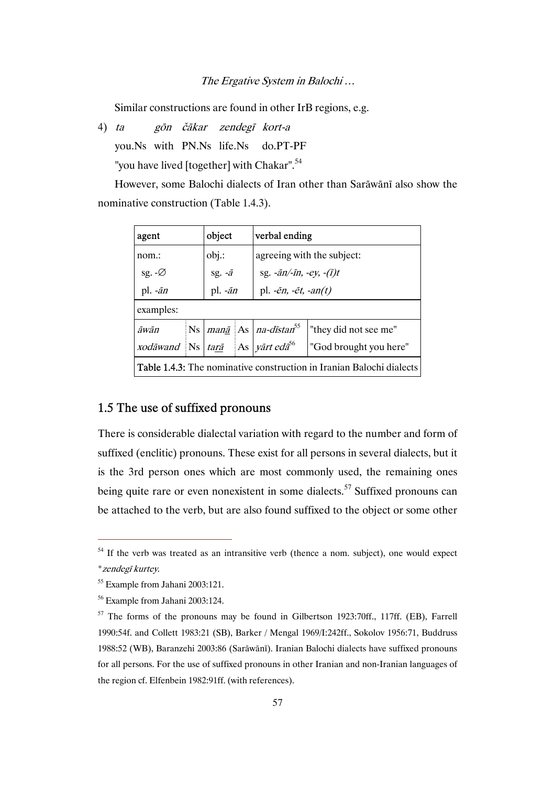Similar constructions are found in other IrB regions, e.g.

4) ta gōn čākar zendegī kort-a

you.Ns with PN.Ns life.Ns do.PT-PF

"you have lived [together] with Chakar".<sup>54</sup>

However, some Balochi dialects of Iran other than Sarāwānī also show the nominative construction (Table 1.4.3).

| agent                                                                                                        |  | object              |  | verbal ending                                                   |  |  |  |
|--------------------------------------------------------------------------------------------------------------|--|---------------------|--|-----------------------------------------------------------------|--|--|--|
| $nom.$ :                                                                                                     |  | $obj$ .:            |  | agreeing with the subject:                                      |  |  |  |
| sg. $-\varnothing$                                                                                           |  | sg. $-\overline{a}$ |  | sg. $-\overline{a}n/\overline{a}n$ , $-ey$ , $-(\overline{i})t$ |  |  |  |
| pl. $-\bar{a}n$                                                                                              |  | pl. $-\bar{a}n$     |  | pl. $-\bar{e}n$ , $-\bar{e}t$ , $-an(t)$                        |  |  |  |
| examples:                                                                                                    |  |                     |  |                                                                 |  |  |  |
| $\ $ Ns $\ $ <i>man<u>ā</u></i> $\ $ As $\ $ <i>na-dīstan</i> <sup>55</sup><br>"they did not see me"<br>āwān |  |                     |  |                                                                 |  |  |  |
| xodāwand Ns                                                                                                  |  | tarā                |  | As <i>vart eda</i> <sup>56</sup><br>"God brought you here"      |  |  |  |
| <b>Table 1.4.3:</b> The nominative construction in Iranian Balochi dialects                                  |  |                     |  |                                                                 |  |  |  |

## 1.5 The use of suffixed pronouns

There is considerable dialectal variation with regard to the number and form of suffixed (enclitic) pronouns. These exist for all persons in several dialects, but it is the 3rd person ones which are most commonly used, the remaining ones being quite rare or even nonexistent in some dialects.<sup>57</sup> Suffixed pronouns can be attached to the verb, but are also found suffixed to the object or some other

 $54$  If the verb was treated as an intransitive verb (thence a nom. subject), one would expect \*zendegī kurtey.

<sup>55</sup> Example from Jahani 2003:121.

<sup>56</sup> Example from Jahani 2003:124.

 $57$  The forms of the pronouns may be found in Gilbertson 1923:70ff., 117ff. (EB), Farrell 1990:54f. and Collett 1983:21 (SB), Barker / Mengal 1969/I:242ff., Sokolov 1956:71, Buddruss 1988:52 (WB), Baranzehi 2003:86 (Sarāwānī). Iranian Balochi dialects have suffixed pronouns for all persons. For the use of suffixed pronouns in other Iranian and non-Iranian languages of the region cf. Elfenbein 1982:91ff. (with references).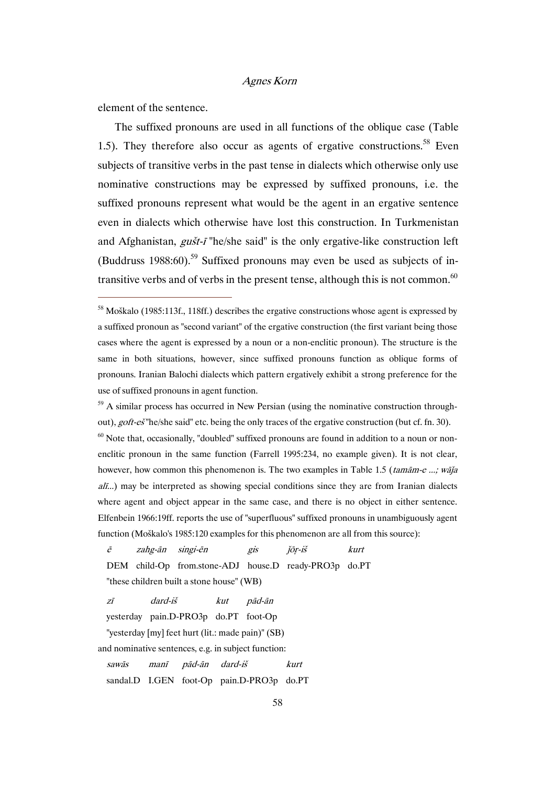element of the sentence.

 $\overline{a}$ 

The suffixed pronouns are used in all functions of the oblique case (Table 1.5). They therefore also occur as agents of ergative constructions.<sup>58</sup> Even subjects of transitive verbs in the past tense in dialects which otherwise only use nominative constructions may be expressed by suffixed pronouns, i.e. the suffixed pronouns represent what would be the agent in an ergative sentence even in dialects which otherwise have lost this construction. In Turkmenistan and Afghanistan, gušt-ī "he/she said" is the only ergative-like construction left (Buddruss 1988:60).<sup>59</sup> Suffixed pronouns may even be used as subjects of intransitive verbs and of verbs in the present tense, although this is not common. $60$ 

 $59$  A similar process has occurred in New Persian (using the nominative construction throughout), *goft-eš* "he/she said" etc. being the only traces of the ergative construction (but cf. fn. 30).

 $60$  Note that, occasionally, "doubled" suffixed pronouns are found in addition to a noun or nonenclitic pronoun in the same function (Farrell 1995:234, no example given). It is not clear, however, how common this phenomenon is. The two examples in Table 1.5 (tamām-e ...; wāja  $a\ddot{h}$ ...) may be interpreted as showing special conditions since they are from Iranian dialects where agent and object appear in the same case, and there is no object in either sentence. Elfenbein 1966:19ff. reports the use of "superfluous" suffixed pronouns in unambiguously agent function (Moškalo's 1985:120 examples for this phenomenon are all from this source):

ē zahg-ān singi-ēn gis ǰōṛ-iš kurt DEM child-Op from.stone-ADJ house.D ready-PRO3p do.PT "these children built a stone house" (WB)

zī dard-iš kut pād-ān

yesterday pain.D-PRO3p do.PT foot-Op

"yesterday [my] feet hurt (lit.: made pain)" (SB)

and nominative sentences, e.g. in subject function:

sawās manī pād-ān dard-iš kurt sandal.D I.GEN foot-Op pain.D-PRO3p do.PT

<sup>&</sup>lt;sup>58</sup> Moškalo (1985:113f., 118ff.) describes the ergative constructions whose agent is expressed by a suffixed pronoun as "second variant" of the ergative construction (the first variant being those cases where the agent is expressed by a noun or a non-enclitic pronoun). The structure is the same in both situations, however, since suffixed pronouns function as oblique forms of pronouns. Iranian Balochi dialects which pattern ergatively exhibit a strong preference for the use of suffixed pronouns in agent function.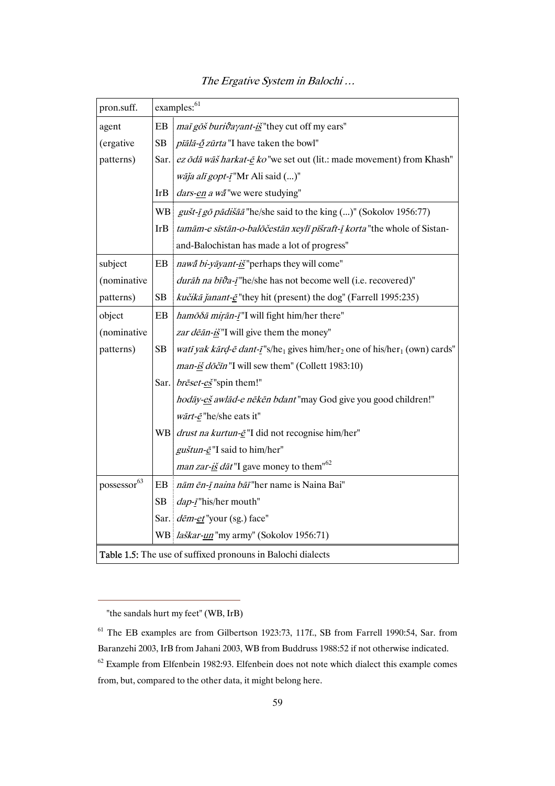| pron.suff.              |            | examples: <sup>61</sup>                                                                                      |
|-------------------------|------------|--------------------------------------------------------------------------------------------------------------|
| agent                   | EB         | mai gōš burivayant-iš "they cut off my ears"                                                                 |
| (ergative               | <b>SB</b>  | <i>pīālā-o zūrta</i> "I have taken the bowl"                                                                 |
| patterns)               | Sar.       | ez ōdā wāš harkat-ē ko "we set out (lit.: made movement) from Khash"                                         |
|                         |            | wāja alī gopt-ī"Mr Ali said ()"                                                                              |
|                         | <b>IrB</b> | dars-en a wa <sup>"</sup> we were studying"                                                                  |
|                         | <b>WB</b>  | gušt-ī gō pādišāā "he/she said to the king ()" (Sokolov 1956:77)                                             |
|                         | <b>IrB</b> | tamām-e sīstān-o-balōčestān xeylī pīšraft-ī korta "the whole of Sistan-                                      |
|                         |            | and-Balochistan has made a lot of progress"                                                                  |
| subject                 | EB         | nawa bi-yāyant-iš" perhaps they will come"                                                                   |
| (nominative             |            | durāh na bīva-ī"he/she has not become well (i.e. recovered)"                                                 |
| patterns)               | SB         | kučikā janant-ē "they hit (present) the dog" (Farrell 1995:235)                                              |
| object                  | EB         | hamōôā mirān-ī"I will fight him/her there"                                                                   |
| (nominative             |            | zar dēān-iš"I will give them the money"                                                                      |
| patterns)               | SB         | watī yak kārd-ē dant-ī"s/he <sub>1</sub> gives him/her <sub>2</sub> one of his/her <sub>1</sub> (own) cards" |
|                         |            | man-iš dōčīn "I will sew them" (Collett 1983:10)                                                             |
|                         | Sar.       | $b \vec{r} \cdot \vec{e} \cdot \vec{e} \cdot \vec{e}$ "spin them!"                                           |
|                         |            | hodāy-eš awlād-e nēkēn bdant"may God give you good children!"                                                |
|                         |            | wārt- $\vec{e}$ "he/she eats it"                                                                             |
|                         |            | WB $\frac{d}{dx}$ <i>drust na kurtun-</i> $\frac{e}{c}$ "I did not recognise him/her"                        |
|                         |            | guštun-ē"I said to him/her"                                                                                  |
|                         |            | <i>man zar-<u>iš</u> dāt</i> "I gave money to them" <sup>62</sup>                                            |
| possessor <sup>63</sup> | EB         | nām ēn-ī naina bāī "her name is Naina Bai"                                                                   |
|                         | <b>SB</b>  | dap-ī"his/her mouth"                                                                                         |
|                         |            | Sar. <i>dēm-et</i> "your (sg.) face"                                                                         |
|                         |            | WB   laškar- <i>un</i> "my army" (Sokolov 1956:71)                                                           |
|                         |            | Table 1.5: The use of suffixed pronouns in Balochi dialects                                                  |

 <sup>&</sup>quot;the sandals hurt my feet" (WB, IrB)

<sup>61</sup> The EB examples are from Gilbertson 1923:73, 117f., SB from Farrell 1990:54, Sar. from Baranzehi 2003, IrB from Jahani 2003, WB from Buddruss 1988:52 if not otherwise indicated. 62 Example from Elfenbein 1982:93. Elfenbein does not note which dialect this example comes from, but, compared to the other data, it might belong here.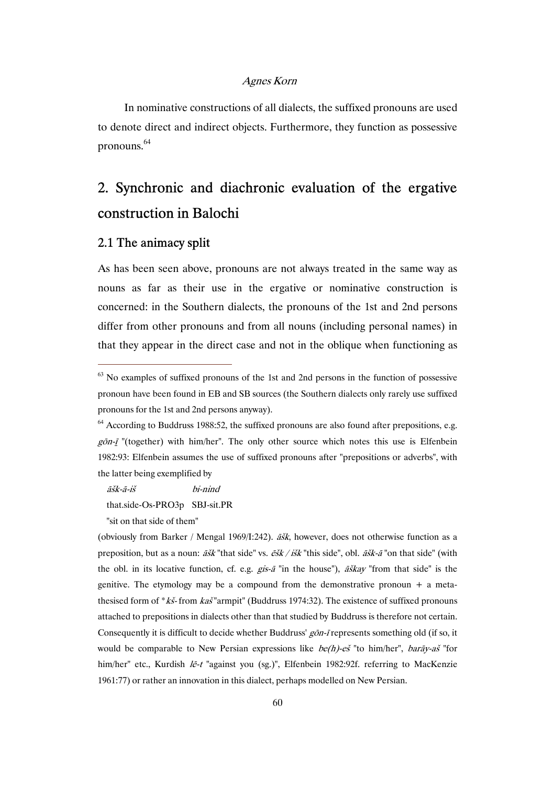In nominative constructions of all dialects, the suffixed pronouns are used to denote direct and indirect objects. Furthermore, they function as possessive pronouns.64

# 2. Synchronic and diachronic evaluation of the ergative construction in Balochi

#### 2.1 The animacy split

 $\overline{a}$ 

As has been seen above, pronouns are not always treated in the same way as nouns as far as their use in the ergative or nominative construction is concerned: in the Southern dialects, the pronouns of the 1st and 2nd persons differ from other pronouns and from all nouns (including personal names) in that they appear in the direct case and not in the oblique when functioning as

āšk-ā-iš bi-nind

that.side-Os-PRO3p SBJ-sit.PR

"sit on that side of them"

(obviously from Barker / Mengal 1969/I:242).  $\tilde{a}$ sk, however, does not otherwise function as a preposition, but as a noun:  $\tilde{a}\tilde{s}k$  "that side" vs.  $\tilde{e}\tilde{s}k/\tilde{s}k$ "this side", obl.  $\tilde{a}\tilde{s}k$ - $\tilde{a}$ "on that side" (with the obl. in its locative function, cf. e.g.  $gis-\bar{a}$  "in the house"),  $\bar{a}skay$  "from that side" is the genitive. The etymology may be a compound from the demonstrative pronoun  $+$  a metathesised form of \*kš- from  $kas$  "armpit" (Buddruss 1974:32). The existence of suffixed pronouns attached to prepositions in dialects other than that studied by Buddruss is therefore not certain. Consequently it is difficult to decide whether Buddruss' gōn-ī represents something old (if so, it would be comparable to New Persian expressions like  $be(h)-e\check{s}$  "to him/her", *barāy-aš* "for him/her" etc., Kurdish lē-t "against you (sg.)", Elfenbein 1982:92f. referring to MacKenzie 1961:77) or rather an innovation in this dialect, perhaps modelled on New Persian.

 $63$  No examples of suffixed pronouns of the 1st and 2nd persons in the function of possessive pronoun have been found in EB and SB sources (the Southern dialects only rarely use suffixed pronouns for the 1st and 2nd persons anyway).

 $64$  According to Buddruss 1988:52, the suffixed pronouns are also found after prepositions, e.g.  $g\bar{o}n-\bar{i}$  "(together) with him/her". The only other source which notes this use is Elfenbein 1982:93: Elfenbein assumes the use of suffixed pronouns after "prepositions or adverbs", with the latter being exemplified by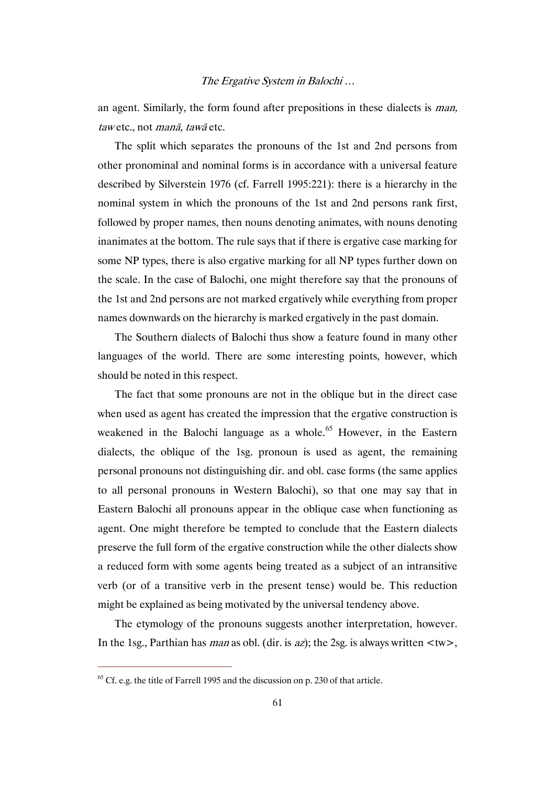an agent. Similarly, the form found after prepositions in these dialects is man, taw etc., not manā, tawā etc.

The split which separates the pronouns of the 1st and 2nd persons from other pronominal and nominal forms is in accordance with a universal feature described by Silverstein 1976 (cf. Farrell 1995:221): there is a hierarchy in the nominal system in which the pronouns of the 1st and 2nd persons rank first, followed by proper names, then nouns denoting animates, with nouns denoting inanimates at the bottom. The rule says that if there is ergative case marking for some NP types, there is also ergative marking for all NP types further down on the scale. In the case of Balochi, one might therefore say that the pronouns of the 1st and 2nd persons are not marked ergatively while everything from proper names downwards on the hierarchy is marked ergatively in the past domain.

The Southern dialects of Balochi thus show a feature found in many other languages of the world. There are some interesting points, however, which should be noted in this respect.

The fact that some pronouns are not in the oblique but in the direct case when used as agent has created the impression that the ergative construction is weakened in the Balochi language as a whole.<sup>65</sup> However, in the Eastern dialects, the oblique of the 1sg. pronoun is used as agent, the remaining personal pronouns not distinguishing dir. and obl. case forms (the same applies to all personal pronouns in Western Balochi), so that one may say that in Eastern Balochi all pronouns appear in the oblique case when functioning as agent. One might therefore be tempted to conclude that the Eastern dialects preserve the full form of the ergative construction while the other dialects show a reduced form with some agents being treated as a subject of an intransitive verb (or of a transitive verb in the present tense) would be. This reduction might be explained as being motivated by the universal tendency above.

The etymology of the pronouns suggests another interpretation, however. In the 1sg., Parthian has *man* as obl. (dir. is az); the 2sg. is always written  $\langle$ tw $\rangle$ ,

 $^{65}$  Cf. e.g. the title of Farrell 1995 and the discussion on p. 230 of that article.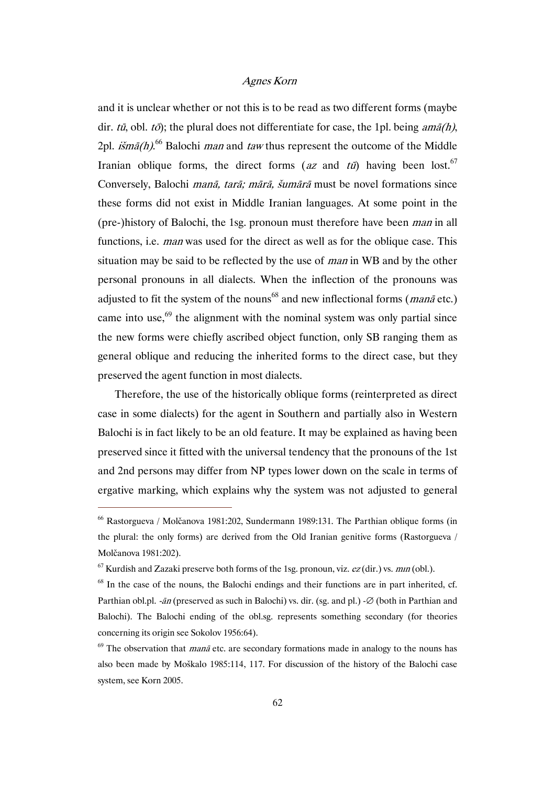and it is unclear whether or not this is to be read as two different forms (maybe dir. tū, obl. tō); the plural does not differentiate for case, the 1pl. being  $am\bar{a}(h)$ , 2pl. *išmā(h)*.<sup>66</sup> Balochi *man* and *taw* thus represent the outcome of the Middle Iranian oblique forms, the direct forms (az and  $t\bar{u}$ ) having been lost.<sup>67</sup> Conversely, Balochi manā, tarā; mārā, šumārā must be novel formations since these forms did not exist in Middle Iranian languages. At some point in the (pre-)history of Balochi, the 1sg. pronoun must therefore have been man in all functions, i.e. man was used for the direct as well as for the oblique case. This situation may be said to be reflected by the use of man in WB and by the other personal pronouns in all dialects. When the inflection of the pronouns was adjusted to fit the system of the nouns<sup>68</sup> and new inflectional forms (*mana* etc.) came into use, $69$  the alignment with the nominal system was only partial since the new forms were chiefly ascribed object function, only SB ranging them as general oblique and reducing the inherited forms to the direct case, but they preserved the agent function in most dialects.

Therefore, the use of the historically oblique forms (reinterpreted as direct case in some dialects) for the agent in Southern and partially also in Western Balochi is in fact likely to be an old feature. It may be explained as having been preserved since it fitted with the universal tendency that the pronouns of the 1st and 2nd persons may differ from NP types lower down on the scale in terms of ergative marking, which explains why the system was not adjusted to general

<sup>66</sup> Rastorgueva / Molčanova 1981:202, Sundermann 1989:131. The Parthian oblique forms (in the plural: the only forms) are derived from the Old Iranian genitive forms (Rastorgueva / Molčanova 1981:202).

<sup>&</sup>lt;sup>67</sup> Kurdish and Zazaki preserve both forms of the 1sg. pronoun, viz.  $ez$  (dir.) vs. *min* (obl.).

 $68$  In the case of the nouns, the Balochi endings and their functions are in part inherited, cf. Parthian obl.pl. -*ān* (preserved as such in Balochi) vs. dir. (sg. and pl.) -∅ (both in Parthian and Balochi). The Balochi ending of the obl.sg. represents something secondary (for theories concerning its origin see Sokolov 1956:64).

 $69$  The observation that *mana* etc. are secondary formations made in analogy to the nouns has also been made by Moškalo 1985:114, 117. For discussion of the history of the Balochi case system, see Korn 2005.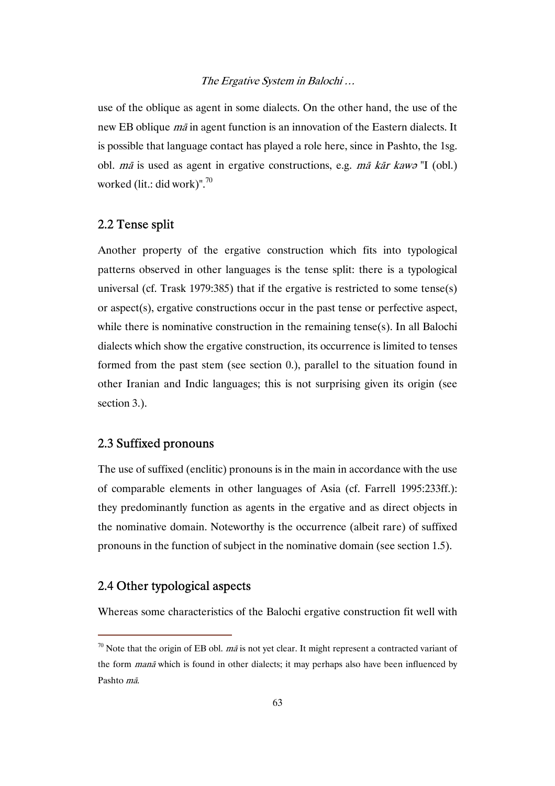use of the oblique as agent in some dialects. On the other hand, the use of the new EB oblique mā in agent function is an innovation of the Eastern dialects. It is possible that language contact has played a role here, since in Pashto, the 1sg. obl. mā is used as agent in ergative constructions, e.g. mā kār kawə "I (obl.) worked (lit.: did work)".<sup>70</sup>

#### 2.2 Tense split

Another property of the ergative construction which fits into typological patterns observed in other languages is the tense split: there is a typological universal (cf. Trask 1979:385) that if the ergative is restricted to some tense(s) or aspect(s), ergative constructions occur in the past tense or perfective aspect, while there is nominative construction in the remaining tense(s). In all Balochi dialects which show the ergative construction, its occurrence is limited to tenses formed from the past stem (see section 0.), parallel to the situation found in other Iranian and Indic languages; this is not surprising given its origin (see section 3.).

#### 2.3 Suffixed pronouns

The use of suffixed (enclitic) pronouns is in the main in accordance with the use of comparable elements in other languages of Asia (cf. Farrell 1995:233ff.): they predominantly function as agents in the ergative and as direct objects in the nominative domain. Noteworthy is the occurrence (albeit rare) of suffixed pronouns in the function of subject in the nominative domain (see section 1.5).

### 2.4 Other typological aspects

 $\overline{a}$ 

Whereas some characteristics of the Balochi ergative construction fit well with

 $\frac{70}{10}$  Note that the origin of EB obl. *ma* is not yet clear. It might represent a contracted variant of the form *mana* which is found in other dialects; it may perhaps also have been influenced by Pashto mā.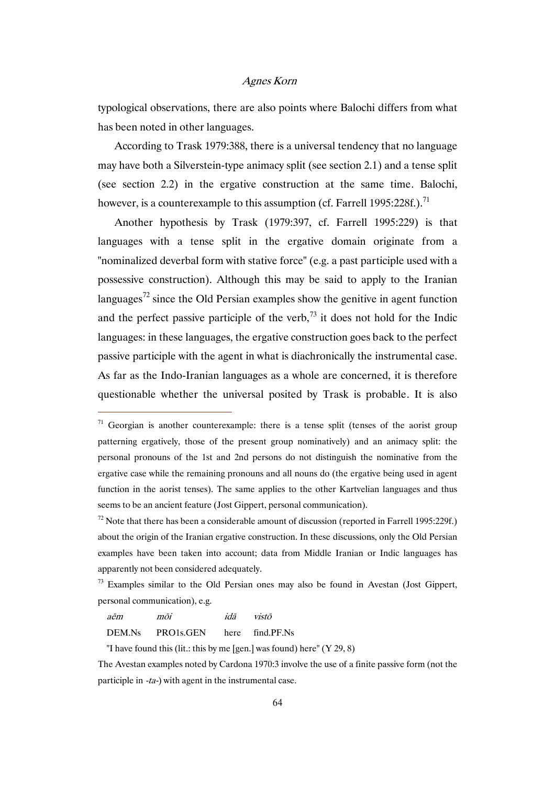typological observations, there are also points where Balochi differs from what has been noted in other languages.

According to Trask 1979:388, there is a universal tendency that no language may have both a Silverstein-type animacy split (see section 2.1) and a tense split (see section 2.2) in the ergative construction at the same time. Balochi, however, is a counterexample to this assumption (cf. Farrell 1995:228f.).<sup>71</sup>

Another hypothesis by Trask (1979:397, cf. Farrell 1995:229) is that languages with a tense split in the ergative domain originate from a "nominalized deverbal form with stative force" (e.g. a past participle used with a possessive construction). Although this may be said to apply to the Iranian languages<sup>72</sup> since the Old Persian examples show the genitive in agent function and the perfect passive participle of the verb,<sup>73</sup> it does not hold for the Indic languages: in these languages, the ergative construction goes back to the perfect passive participle with the agent in what is diachronically the instrumental case. As far as the Indo-Iranian languages as a whole are concerned, it is therefore questionable whether the universal posited by Trask is probable. It is also

aēm mōi idā vistō

 $\overline{a}$ 

DEM.Ns PRO1s.GEN here find.PF.Ns

"I have found this (lit.: this by me [gen.] was found) here"  $(Y 29, 8)$ 

The Avestan examples noted by Cardona 1970:3 involve the use of a finite passive form (not the participle in -ta-) with agent in the instrumental case.

 $71$  Georgian is another counterexample: there is a tense split (tenses of the aorist group patterning ergatively, those of the present group nominatively) and an animacy split: the personal pronouns of the 1st and 2nd persons do not distinguish the nominative from the ergative case while the remaining pronouns and all nouns do (the ergative being used in agent function in the aorist tenses). The same applies to the other Kartvelian languages and thus seems to be an ancient feature (Jost Gippert, personal communication).

 $<sup>72</sup>$  Note that there has been a considerable amount of discussion (reported in Farrell 1995:229f.)</sup> about the origin of the Iranian ergative construction. In these discussions, only the Old Persian examples have been taken into account; data from Middle Iranian or Indic languages has apparently not been considered adequately.

 $<sup>73</sup>$  Examples similar to the Old Persian ones may also be found in Avestan (Jost Gippert,</sup> personal communication), e.g.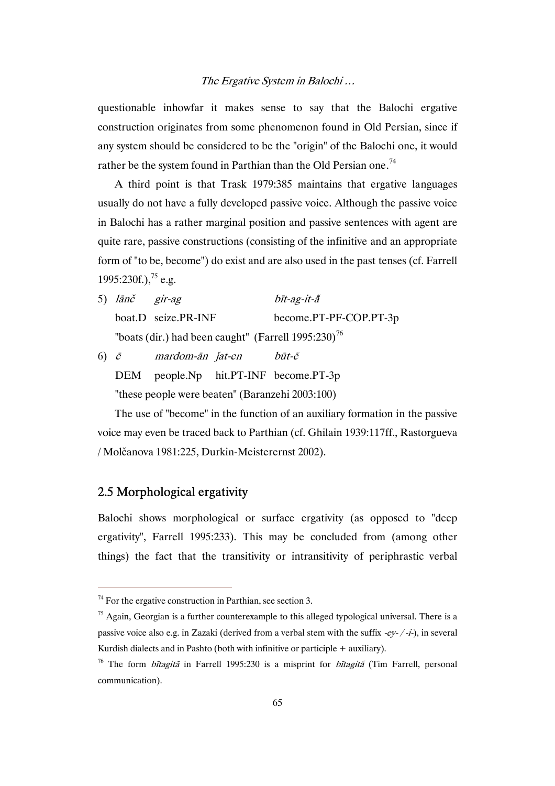questionable inhowfar it makes sense to say that the Balochi ergative construction originates from some phenomenon found in Old Persian, since if any system should be considered to be the "origin" of the Balochi one, it would rather be the system found in Parthian than the Old Persian one.<sup>74</sup>

A third point is that Trask 1979:385 maintains that ergative languages usually do not have a fully developed passive voice. Although the passive voice in Balochi has a rather marginal position and passive sentences with agent are quite rare, passive constructions (consisting of the infinitive and an appropriate form of "to be, become") do exist and are also used in the past tenses (cf. Farrell 1995:230f.),  $^{75}$  e.g.

- 5) lānč gir-ag bīt-ag-it-a boat.D seize.PR-INF become.PT-PF-COP.PT-3p "boats (dir.) had been caught" (Farrell  $1995:230$ )<sup>76</sup>
- 6)  $\bar{e}$  mardom-ān  $\check{a}$ t-en būt- $\tilde{e}$  DEM people.Np hit.PT-INF become.PT-3p "these people were beaten" (Baranzehi 2003:100)

The use of "become" in the function of an auxiliary formation in the passive voice may even be traced back to Parthian (cf. Ghilain 1939:117ff., Rastorgueva / Molčanova 1981:225, Durkin-Meisterernst 2002).

### 2.5 Morphological ergativity

 $\overline{a}$ 

Balochi shows morphological or surface ergativity (as opposed to "deep ergativity", Farrell 1995:233). This may be concluded from (among other things) the fact that the transitivity or intransitivity of periphrastic verbal

 $74$  For the ergative construction in Parthian, see section 3.

 $<sup>75</sup>$  Again, Georgian is a further counterexample to this alleged typological universal. There is a</sup> passive voice also e.g. in Zazaki (derived from a verbal stem with the suffix  $-e^{y}$ -/-i-), in several Kurdish dialects and in Pashto (both with infinitive or participle + auxiliary).

<sup>&</sup>lt;sup>76</sup> The form *bītagitā* in Farrell 1995:230 is a misprint for *bītagitā* (Tim Farrell, personal communication).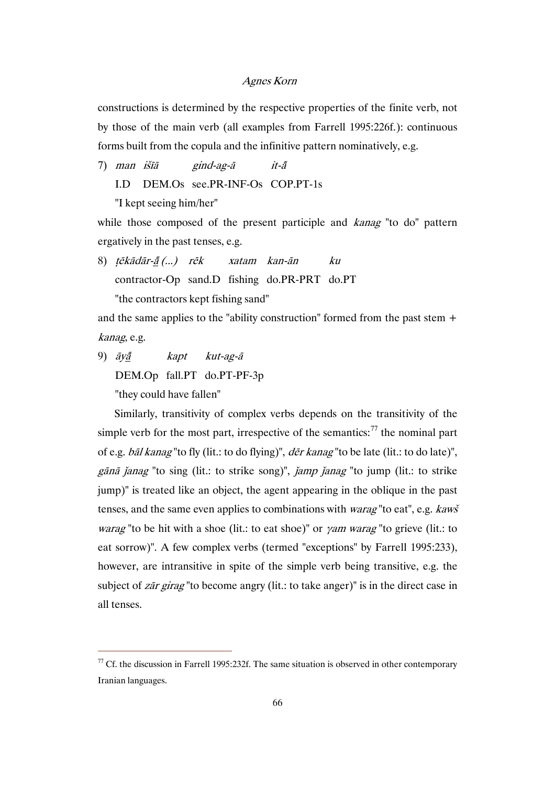constructions is determined by the respective properties of the finite verb, not by those of the main verb (all examples from Farrell 1995:226f.): continuous forms built from the copula and the infinitive pattern nominatively, e.g.

- 7) man išīā gind-ag-ā it-
	- I.D DEM.Os see.PR-INF-Os COP.PT-1s

"I kept seeing him/her"

while those composed of the present participle and *kanag* "to do" pattern ergatively in the past tenses, e.g.

8) tēkādār-ā(...) rēk xatam kan-ān ku contractor-Op sand.D fishing do.PR-PRT do.PT "the contractors kept fishing sand"

and the same applies to the "ability construction" formed from the past stem + kanag, e.g.

9)  $\bar{a}y\bar{a}$  kapt kut-ag- $\bar{a}$  DEM.Op fall.PT do.PT-PF-3p "they could have fallen"

 $\overline{a}$ 

Similarly, transitivity of complex verbs depends on the transitivity of the simple verb for the most part, irrespective of the semantics: $^{77}$  the nominal part of e.g. bāl kanag "to fly (lit.: to do flying)", dēr kanag "to be late (lit.: to do late)", gānā janag "to sing (lit.: to strike song)", jamp janag "to jump (lit.: to strike jump)" is treated like an object, the agent appearing in the oblique in the past tenses, and the same even applies to combinations with warag "to eat", e.g. kawš *warag* "to be hit with a shoe (lit.: to eat shoe)" or *yam warag* "to grieve (lit.: to eat sorrow)". A few complex verbs (termed "exceptions" by Farrell 1995:233), however, are intransitive in spite of the simple verb being transitive, e.g. the subject of *zār girag* "to become angry (lit.: to take anger)" is in the direct case in all tenses.

 $77$  Cf. the discussion in Farrell 1995:232f. The same situation is observed in other contemporary Iranian languages.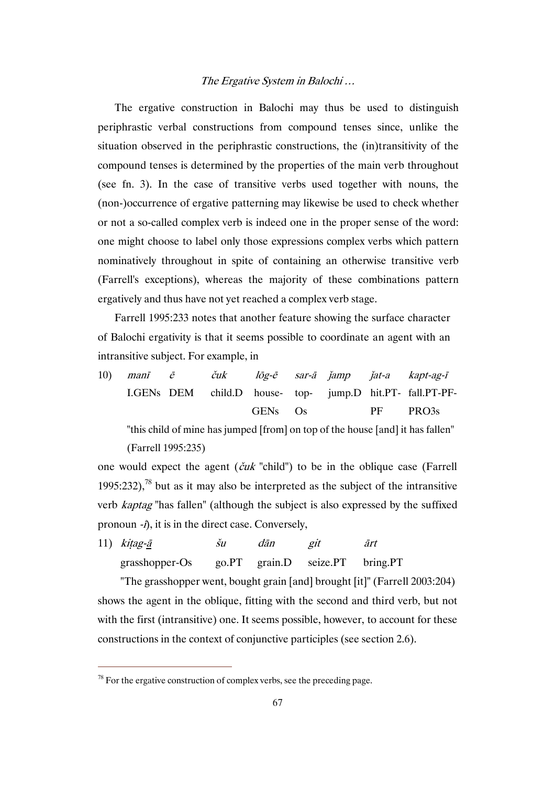The ergative construction in Balochi may thus be used to distinguish periphrastic verbal constructions from compound tenses since, unlike the situation observed in the periphrastic constructions, the (in)transitivity of the compound tenses is determined by the properties of the main verb throughout (see fn. 3). In the case of transitive verbs used together with nouns, the (non-)occurrence of ergative patterning may likewise be used to check whether or not a so-called complex verb is indeed one in the proper sense of the word: one might choose to label only those expressions complex verbs which pattern nominatively throughout in spite of containing an otherwise transitive verb (Farrell's exceptions), whereas the majority of these combinations pattern ergatively and thus have not yet reached a complex verb stage.

Farrell 1995:233 notes that another feature showing the surface character of Balochi ergativity is that it seems possible to coordinate an agent with an intransitive subject. For example, in

10) manī ē čuk lōg-ē sar-ā ǰamp ǰat-a kapt-ag-ī I.GENs DEM child.D house-GENs top-Os jump.D hit.PT-fall.PT-PF-PF PRO3s

 "this child of mine has jumped [from] on top of the house [and] it has fallen" (Farrell 1995:235)

one would expect the agent  $(\check{c}uk$  "child") to be in the oblique case (Farrell 1995:232),<sup>78</sup> but as it may also be interpreted as the subject of the intransitive verb kaptag "has fallen" (although the subject is also expressed by the suffixed pronoun -ī), it is in the direct case. Conversely,

11) kitag-ā šu dān git ārt grasshopper-Os go.PT grain.D seize.PT bring.PT

 "The grasshopper went, bought grain [and] brought [it]" (Farrell 2003:204) shows the agent in the oblique, fitting with the second and third verb, but not with the first (intransitive) one. It seems possible, however, to account for these constructions in the context of conjunctive participles (see section 2.6).

 $78$  For the ergative construction of complex verbs, see the preceding page.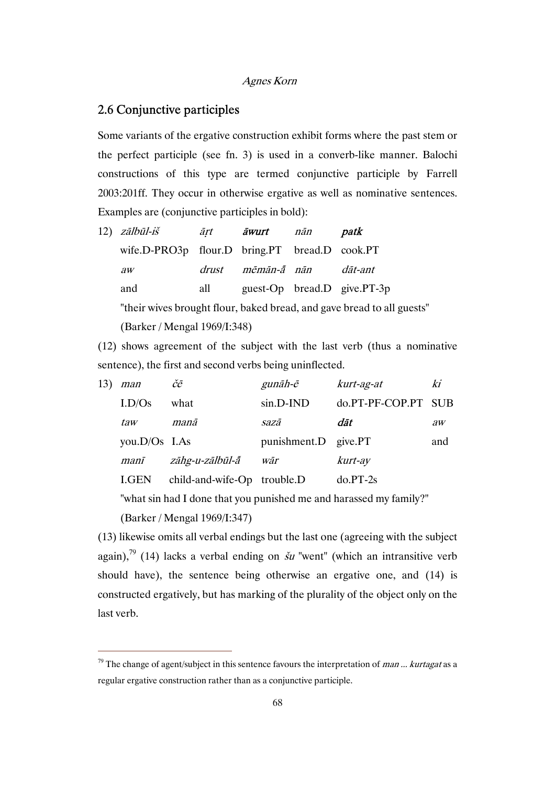#### 2.6 Conjunctive participles

Some variants of the ergative construction exhibit forms where the past stem or the perfect participle (see fn. 3) is used in a converb-like manner. Balochi constructions of this type are termed conjunctive participle by Farrell 2003:201ff. They occur in otherwise ergative as well as nominative sentences. Examples are (conjunctive participles in bold):

| 12) <i>zālbūl-iš</i>                                                   | ārt   | āwurt       | nān | patk                        |  |  |
|------------------------------------------------------------------------|-------|-------------|-----|-----------------------------|--|--|
| wife.D-PRO3p flour.D bring.PT bread.D cook.PT                          |       |             |     |                             |  |  |
| $\partial W$                                                           | drust | mēmān-ā nān |     | dāt-ant                     |  |  |
| and                                                                    | all   |             |     | guest-Op bread.D give.PT-3p |  |  |
| "their wives brought flour, baked bread, and gave bread to all guests" |       |             |     |                             |  |  |
| (Barker / Mengal 1969/I:348)                                           |       |             |     |                             |  |  |

(12) shows agreement of the subject with the last verb (thus a nominative sentence), the first and second verbs being uninflected.

| 13) | man                | čē                          | gunāh-ē              | kurt-ag-at      | ki           |
|-----|--------------------|-----------------------------|----------------------|-----------------|--------------|
|     | L <sub>D</sub> /Os | what                        | $sin.D-IND$          | do.PT-PF-COP.PT | <b>SUB</b>   |
|     | taw                | manā                        | sazā                 | dāt             | $\partial W$ |
|     | you.D/Os I.As      |                             | punishment.D give.PT |                 | and          |
|     | manī               | zāhg-u-zālbūl-ā             | wār                  | kurt-ay         |              |
|     | LGEN               | child-and-wife-Op trouble.D |                      | $do.PT-2s$      |              |

"what sin had I done that you punished me and harassed my family?"

(Barker / Mengal 1969/I:347)

 $\overline{a}$ 

(13) likewise omits all verbal endings but the last one (agreeing with the subject again),<sup>79</sup> (14) lacks a verbal ending on  $\dot{\delta}u$  "went" (which an intransitive verb should have), the sentence being otherwise an ergative one, and (14) is constructed ergatively, but has marking of the plurality of the object only on the last verb.

 $79$  The change of agent/subject in this sentence favours the interpretation of *man* ... kurtagat as a regular ergative construction rather than as a conjunctive participle.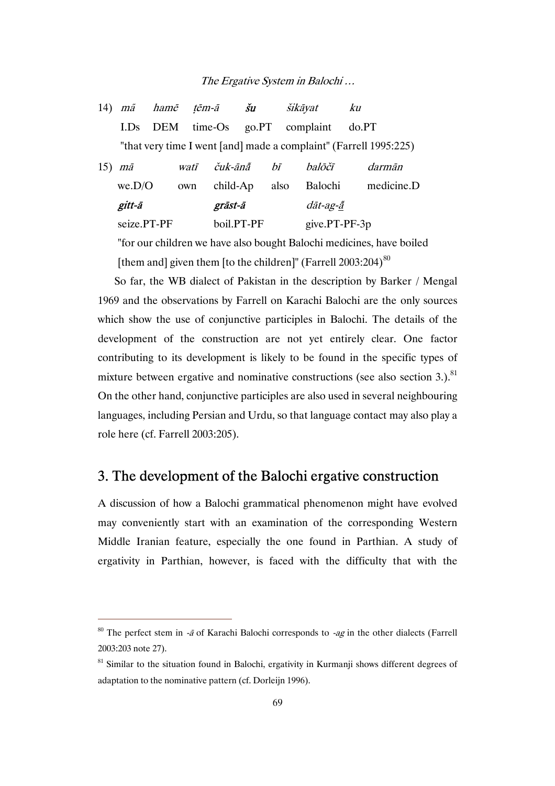| 14) | mã              | hamē       | tēm-ā   |            | šu             | šikāyat       |                                                                   | ku     |            |
|-----|-----------------|------------|---------|------------|----------------|---------------|-------------------------------------------------------------------|--------|------------|
|     | LD <sub>S</sub> | <b>DEM</b> | time-Os |            | $g_{O}$ . $PT$ |               | complaint                                                         | do. PT |            |
|     |                 |            |         |            |                |               | "that very time I went [and] made a complaint" (Farrell 1995:225) |        |            |
| 15) | mā              |            | watī    | čuk-ānā    |                | hī            | halōčī                                                            |        | darmān     |
|     | we.D/O          | own        |         | child-Ap   |                | also          | Balochi                                                           |        | medicine.D |
|     | gitt-ā          |            |         | grāst-ā    |                | dāt-ag-ā      |                                                                   |        |            |
|     | seize.PT-PF     |            |         | boil.PT-PF |                | give.PT-PF-3p |                                                                   |        |            |
|     |                 |            |         |            |                |               |                                                                   |        |            |

 "for our children we have also bought Balochi medicines, have boiled [them and] given them [to the children]" (Farrell  $2003:204$ )<sup>80</sup>

So far, the WB dialect of Pakistan in the description by Barker / Mengal 1969 and the observations by Farrell on Karachi Balochi are the only sources which show the use of conjunctive participles in Balochi. The details of the development of the construction are not yet entirely clear. One factor contributing to its development is likely to be found in the specific types of mixture between ergative and nominative constructions (see also section 3.).<sup>81</sup> On the other hand, conjunctive participles are also used in several neighbouring languages, including Persian and Urdu, so that language contact may also play a role here (cf. Farrell 2003:205).

## 3. The development of the Balochi ergative construction

A discussion of how a Balochi grammatical phenomenon might have evolved may conveniently start with an examination of the corresponding Western Middle Iranian feature, especially the one found in Parthian. A study of ergativity in Parthian, however, is faced with the difficulty that with the

<sup>&</sup>lt;sup>80</sup> The perfect stem in -*ā* of Karachi Balochi corresponds to -*ag* in the other dialects (Farrell 2003:203 note 27).

 $81$  Similar to the situation found in Balochi, ergativity in Kurmanji shows different degrees of adaptation to the nominative pattern (cf. Dorleijn 1996).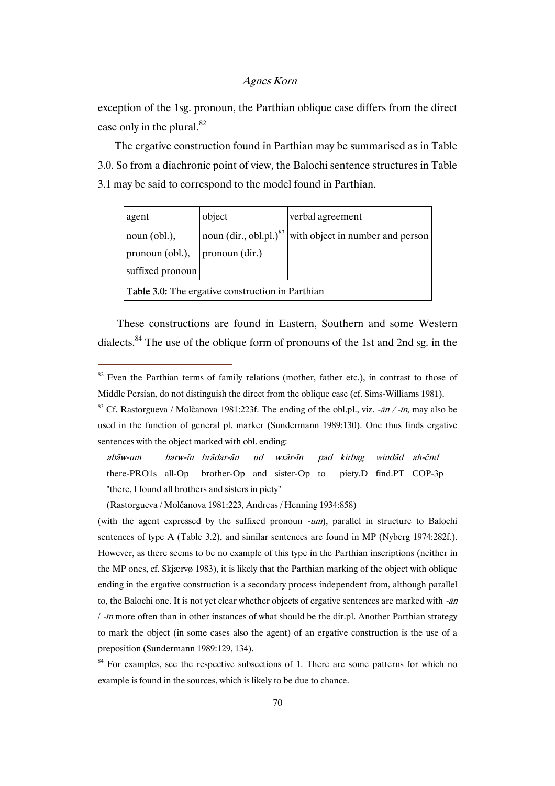exception of the 1sg. pronoun, the Parthian oblique case differs from the direct case only in the plural. $82$ 

The ergative construction found in Parthian may be summarised as in Table 3.0. So from a diachronic point of view, the Balochi sentence structures in Table 3.1 may be said to correspond to the model found in Parthian.

| agent                                            | object                                               | verbal agreement                 |  |  |
|--------------------------------------------------|------------------------------------------------------|----------------------------------|--|--|
| noun $(obl.)$ ,                                  | noun $\left(\text{dir.}, \text{obl.pl.}\right)^{83}$ | with object in number and person |  |  |
| pronoun (obl.),                                  | pronoun (dir.)                                       |                                  |  |  |
| suffixed pronoun                                 |                                                      |                                  |  |  |
| Table 3.0: The ergative construction in Parthian |                                                      |                                  |  |  |

These constructions are found in Eastern, Southern and some Western dialects.84 The use of the oblique form of pronouns of the 1st and 2nd sg. in the

 abāw-um harw-īn brādar-ān ud wxār-īn pad kirbag windād ah-ēnd there-PRO1s all-Op brother-Op and sister-Op to piety.D find.PT COP-3p "there, I found all brothers and sisters in piety"

(Rastorgueva / Molčanova 1981:223, Andreas / Henning 1934:858)

 $\overline{a}$ 

(with the agent expressed by the suffixed pronoun -um), parallel in structure to Balochi sentences of type A (Table 3.2), and similar sentences are found in MP (Nyberg 1974:282f.). However, as there seems to be no example of this type in the Parthian inscriptions (neither in the MP ones, cf. Skjærvø 1983), it is likely that the Parthian marking of the object with oblique ending in the ergative construction is a secondary process independent from, although parallel to, the Balochi one. It is not yet clear whether objects of ergative sentences are marked with  $-\bar{a}n$ / -īn more often than in other instances of what should be the dir.pl. Another Parthian strategy to mark the object (in some cases also the agent) of an ergative construction is the use of a preposition (Sundermann 1989:129, 134).

<sup>84</sup> For examples, see the respective subsections of 1. There are some patterns for which no example is found in the sources, which is likely to be due to chance.

<sup>&</sup>lt;sup>82</sup> Even the Parthian terms of family relations (mother, father etc.), in contrast to those of Middle Persian, do not distinguish the direct from the oblique case (cf. Sims-Williams 1981).

<sup>&</sup>lt;sup>83</sup> Cf. Rastorgueva / Molčanova 1981:223f. The ending of the obl.pl., viz.  $-\frac{a_n}{r}$ , may also be used in the function of general pl. marker (Sundermann 1989:130). One thus finds ergative sentences with the object marked with obl. ending: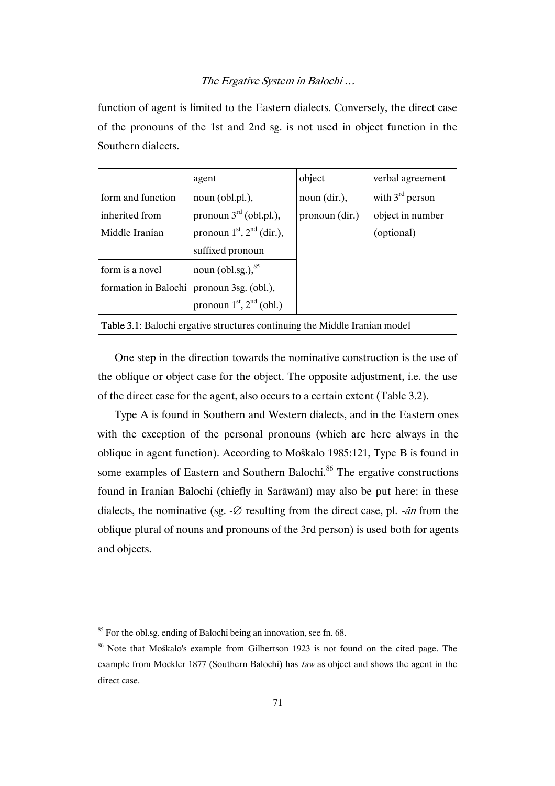function of agent is limited to the Eastern dialects. Conversely, the direct case of the pronouns of the 1st and 2nd sg. is not used in object function in the Southern dialects.

|                                                                                   | agent                              | object         | verbal agreement     |  |
|-----------------------------------------------------------------------------------|------------------------------------|----------------|----------------------|--|
| form and function                                                                 | noun (obl.pl.),                    | noun (dir.),   | with $3^{rd}$ person |  |
| inherited from                                                                    | pronoun $3^{\text{rd}}$ (obl.pl.), | pronoun (dir.) | object in number     |  |
| Middle Iranian                                                                    | pronoun $1st$ , $2nd$ (dir.),      |                | (optional)           |  |
|                                                                                   | suffixed pronoun                   |                |                      |  |
| form is a novel                                                                   | noun (obl.sg.), $85$               |                |                      |  |
| formation in Balochi                                                              | pronoun 3sg. (obl.),               |                |                      |  |
| pronoun $1st$ , $2nd$ (obl.)                                                      |                                    |                |                      |  |
| <b>Table 3.1:</b> Balochi ergative structures continuing the Middle Iranian model |                                    |                |                      |  |

One step in the direction towards the nominative construction is the use of the oblique or object case for the object. The opposite adjustment, i.e. the use of the direct case for the agent, also occurs to a certain extent (Table 3.2).

Type A is found in Southern and Western dialects, and in the Eastern ones with the exception of the personal pronouns (which are here always in the oblique in agent function). According to Moškalo 1985:121, Type B is found in some examples of Eastern and Southern Balochi.<sup>86</sup> The ergative constructions found in Iranian Balochi (chiefly in Sarāwānī) may also be put here: in these dialects, the nominative (sg.  $-\varnothing$  resulting from the direct case, pl.  $-\varnothing$  from the oblique plural of nouns and pronouns of the 3rd person) is used both for agents and objects.

<sup>&</sup>lt;sup>85</sup> For the obl.sg. ending of Balochi being an innovation, see fn. 68.

<sup>&</sup>lt;sup>86</sup> Note that Moškalo's example from Gilbertson 1923 is not found on the cited page. The example from Mockler 1877 (Southern Balochi) has taw as object and shows the agent in the direct case.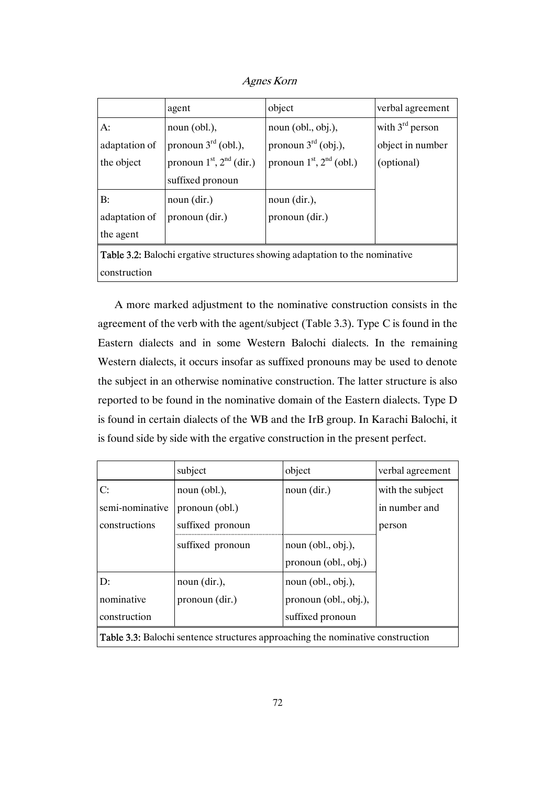Agnes Korn

|                                                                                    | agent                           | object                          | verbal agreement     |  |
|------------------------------------------------------------------------------------|---------------------------------|---------------------------------|----------------------|--|
| A:                                                                                 | noun (obl.),                    | noun (obl., obj.),              | with $3^{rd}$ person |  |
| adaptation of                                                                      | pronoun $3^{\text{rd}}$ (obl.), | pronoun $3^{\text{rd}}$ (obj.), | object in number     |  |
| the object                                                                         | pronoun $1st$ , $2nd$ (dir.)    | pronoun $1st$ , $2nd$ (obl.)    | (optional)           |  |
|                                                                                    | suffixed pronoun                |                                 |                      |  |
| B:                                                                                 | noun (dir.)                     | noun (dir.),                    |                      |  |
| adaptation of                                                                      | pronoun (dir.)                  | pronoun (dir.)                  |                      |  |
| the agent                                                                          |                                 |                                 |                      |  |
| <b>Table 3.2:</b> Balochi ergative structures showing adaptation to the nominative |                                 |                                 |                      |  |
| construction                                                                       |                                 |                                 |                      |  |

A more marked adjustment to the nominative construction consists in the agreement of the verb with the agent/subject (Table 3.3). Type C is found in the Eastern dialects and in some Western Balochi dialects. In the remaining Western dialects, it occurs insofar as suffixed pronouns may be used to denote the subject in an otherwise nominative construction. The latter structure is also reported to be found in the nominative domain of the Eastern dialects. Type D is found in certain dialects of the WB and the IrB group. In Karachi Balochi, it is found side by side with the ergative construction in the present perfect.

|                                                                                       | subject          | object                | verbal agreement |  |
|---------------------------------------------------------------------------------------|------------------|-----------------------|------------------|--|
| C:                                                                                    | noun (obl.),     | noun (dir.)           | with the subject |  |
| semi-nominative                                                                       | pronoun (obl.)   |                       | in number and    |  |
| constructions                                                                         | suffixed pronoun |                       | person           |  |
|                                                                                       | suffixed pronoun | noun (obl., obj.),    |                  |  |
|                                                                                       |                  | pronoun (obl., obj.)  |                  |  |
| D:                                                                                    | noun (dir.),     | noun (obl., obj.),    |                  |  |
| nominative                                                                            | pronoun (dir.)   | pronoun (obl., obj.), |                  |  |
| construction                                                                          |                  | suffixed pronoun      |                  |  |
| <b>Table 3.3:</b> Balochi sentence structures approaching the nominative construction |                  |                       |                  |  |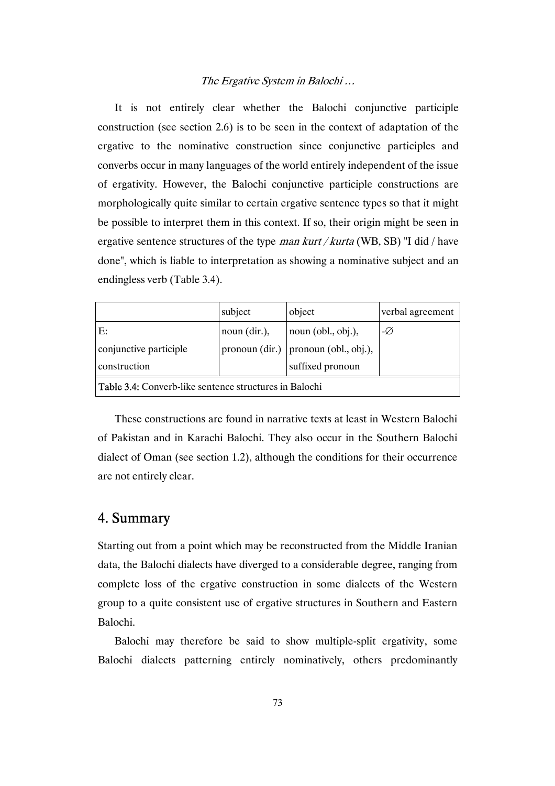It is not entirely clear whether the Balochi conjunctive participle construction (see section 2.6) is to be seen in the context of adaptation of the ergative to the nominative construction since conjunctive participles and converbs occur in many languages of the world entirely independent of the issue of ergativity. However, the Balochi conjunctive participle constructions are morphologically quite similar to certain ergative sentence types so that it might be possible to interpret them in this context. If so, their origin might be seen in ergative sentence structures of the type man kurt / kurta (WB, SB) "I did / have done", which is liable to interpretation as showing a nominative subject and an endingless verb (Table 3.4).

|                                                               | subject               | object                     | verbal agreement |  |
|---------------------------------------------------------------|-----------------------|----------------------------|------------------|--|
| E:                                                            | noun $\frac{dir.}{,}$ | $\vert$ noun (obl., obj.), | -Ø               |  |
| conjunctive participle                                        | pronoun (dir.)        | pronoun (obl., obj.),      |                  |  |
| construction                                                  |                       | suffixed pronoun           |                  |  |
| <b>Table 3.4:</b> Converb-like sentence structures in Balochi |                       |                            |                  |  |

These constructions are found in narrative texts at least in Western Balochi of Pakistan and in Karachi Balochi. They also occur in the Southern Balochi dialect of Oman (see section 1.2), although the conditions for their occurrence are not entirely clear.

## 4. Summary

Starting out from a point which may be reconstructed from the Middle Iranian data, the Balochi dialects have diverged to a considerable degree, ranging from complete loss of the ergative construction in some dialects of the Western group to a quite consistent use of ergative structures in Southern and Eastern Balochi.

Balochi may therefore be said to show multiple-split ergativity, some Balochi dialects patterning entirely nominatively, others predominantly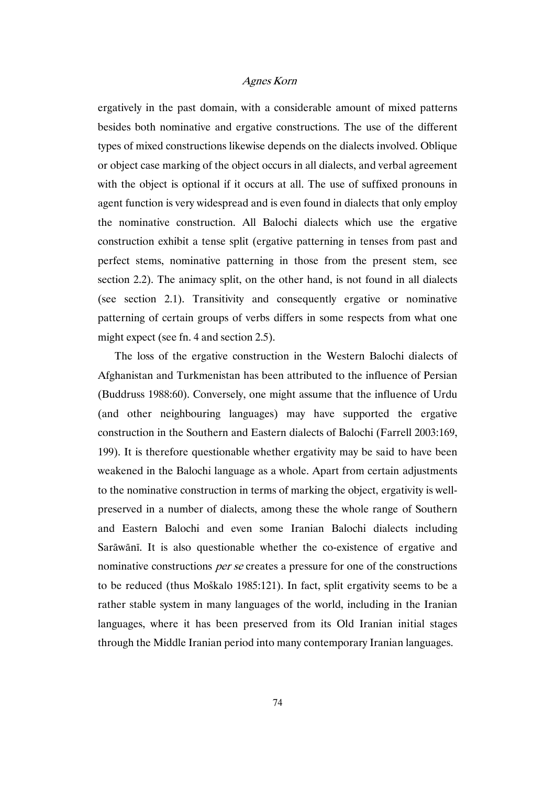ergatively in the past domain, with a considerable amount of mixed patterns besides both nominative and ergative constructions. The use of the different types of mixed constructions likewise depends on the dialects involved. Oblique or object case marking of the object occurs in all dialects, and verbal agreement with the object is optional if it occurs at all. The use of suffixed pronouns in agent function is very widespread and is even found in dialects that only employ the nominative construction. All Balochi dialects which use the ergative construction exhibit a tense split (ergative patterning in tenses from past and perfect stems, nominative patterning in those from the present stem, see section 2.2). The animacy split, on the other hand, is not found in all dialects (see section 2.1). Transitivity and consequently ergative or nominative patterning of certain groups of verbs differs in some respects from what one might expect (see fn. 4 and section 2.5).

The loss of the ergative construction in the Western Balochi dialects of Afghanistan and Turkmenistan has been attributed to the influence of Persian (Buddruss 1988:60). Conversely, one might assume that the influence of Urdu (and other neighbouring languages) may have supported the ergative construction in the Southern and Eastern dialects of Balochi (Farrell 2003:169, 199). It is therefore questionable whether ergativity may be said to have been weakened in the Balochi language as a whole. Apart from certain adjustments to the nominative construction in terms of marking the object, ergativity is wellpreserved in a number of dialects, among these the whole range of Southern and Eastern Balochi and even some Iranian Balochi dialects including Sarāwānī. It is also questionable whether the co-existence of ergative and nominative constructions per se creates a pressure for one of the constructions to be reduced (thus Moškalo 1985:121). In fact, split ergativity seems to be a rather stable system in many languages of the world, including in the Iranian languages, where it has been preserved from its Old Iranian initial stages through the Middle Iranian period into many contemporary Iranian languages.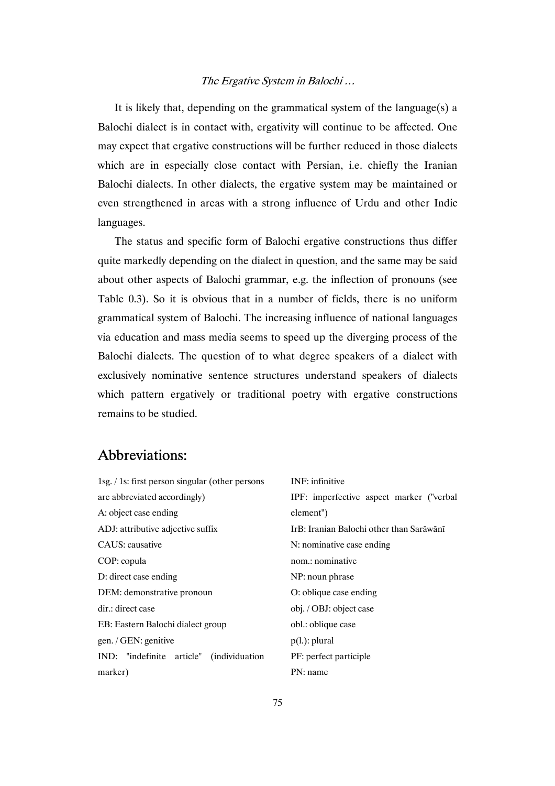It is likely that, depending on the grammatical system of the language(s) a Balochi dialect is in contact with, ergativity will continue to be affected. One may expect that ergative constructions will be further reduced in those dialects which are in especially close contact with Persian, i.e. chiefly the Iranian Balochi dialects. In other dialects, the ergative system may be maintained or even strengthened in areas with a strong influence of Urdu and other Indic languages.

The status and specific form of Balochi ergative constructions thus differ quite markedly depending on the dialect in question, and the same may be said about other aspects of Balochi grammar, e.g. the inflection of pronouns (see Table 0.3). So it is obvious that in a number of fields, there is no uniform grammatical system of Balochi. The increasing influence of national languages via education and mass media seems to speed up the diverging process of the Balochi dialects. The question of to what degree speakers of a dialect with exclusively nominative sentence structures understand speakers of dialects which pattern ergatively or traditional poetry with ergative constructions remains to be studied.

# Abbreviations:

| 1sg. / 1s: first person singular (other persons | <b>INF</b> : infinitive                  |  |  |
|-------------------------------------------------|------------------------------------------|--|--|
| are abbreviated accordingly)                    | IPF: imperfective aspect marker ("verbal |  |  |
| A: object case ending                           | element")                                |  |  |
| ADJ: attributive adjective suffix               | IrB: Iranian Balochi other than Sarāwānī |  |  |
| CAUS: causative                                 | N: nominative case ending                |  |  |
| COP: copula                                     | nom.: nominative                         |  |  |
| D: direct case ending                           | NP: noun phrase                          |  |  |
| DEM: demonstrative pronoun                      | O: oblique case ending                   |  |  |
| dir.: direct case                               | obj. / OBJ: object case                  |  |  |
| EB: Eastern Balochi dialect group               | obl.: oblique case                       |  |  |
| gen. / GEN: genitive                            | $p(l.)$ : plural                         |  |  |
| IND: "indefinite article" (individuation        | PF: perfect participle                   |  |  |
| marker)                                         | PN: name                                 |  |  |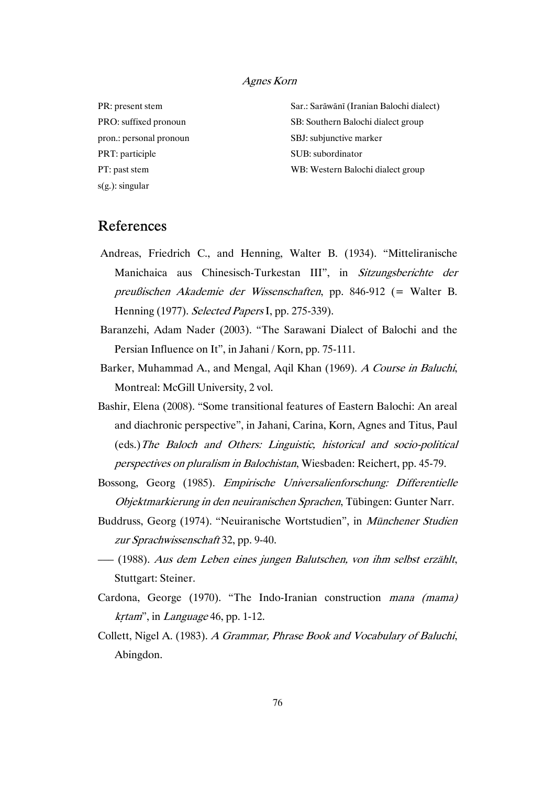PR: present stem PRO: suffixed pronoun pron.: personal pronoun PRT: participle PT: past stem s(g.): singular

Sar.: Sarāwānī (Iranian Balochi dialect) SB: Southern Balochi dialect group SBJ: subjunctive marker SUB: subordinator WB: Western Balochi dialect group

# References

- Andreas, Friedrich C., and Henning, Walter B. (1934). "Mitteliranische Manichaica aus Chinesisch-Turkestan III", in Sitzungsberichte der preußischen Akademie der Wissenschaften, pp. 846-912 (= Walter B. Henning (1977). Selected Papers I, pp. 275-339).
- Baranzehi, Adam Nader (2003). "The Sarawani Dialect of Balochi and the Persian Influence on It", in Jahani / Korn, pp. 75-111.
- Barker, Muhammad A., and Mengal, Aqil Khan (1969). A Course in Baluchi, Montreal: McGill University, 2 vol.
- Bashir, Elena (2008). "Some transitional features of Eastern Balochi: An areal and diachronic perspective", in Jahani, Carina, Korn, Agnes and Titus, Paul (eds.)The Baloch and Others: Linguistic, historical and socio-political perspectives on pluralism in Balochistan, Wiesbaden: Reichert, pp. 45-79.
- Bossong, Georg (1985). Empirische Universalienforschung: Differentielle Objektmarkierung in den neuiranischen Sprachen, Tübingen: Gunter Narr.
- Buddruss, Georg (1974). "Neuiranische Wortstudien", in Münchener Studien zur Sprachwissenschaft 32, pp. 9-40.
- ––– (1988). Aus dem Leben eines jungen Balutschen, von ihm selbst erzählt, Stuttgart: Steiner.
- Cardona, George (1970). "The Indo-Iranian construction mana (mama) kṛtam", in Language 46, pp. 1-12.
- Collett, Nigel A. (1983). A Grammar, Phrase Book and Vocabulary of Baluchi, Abingdon.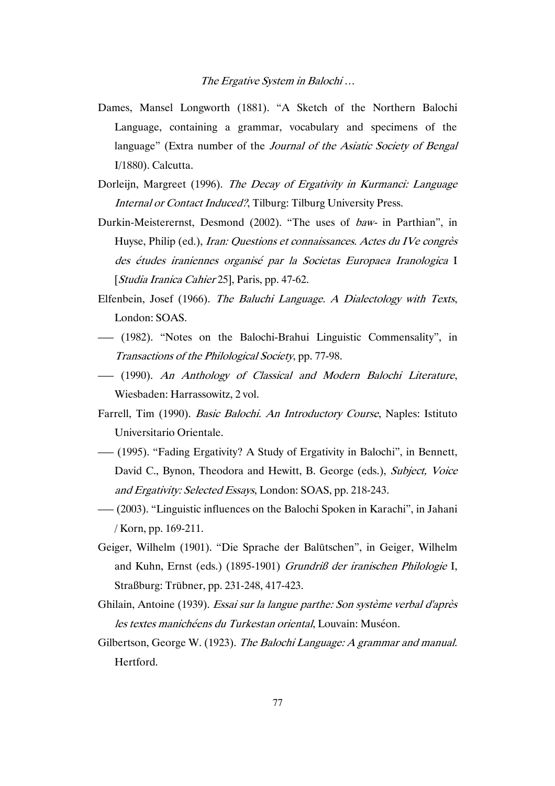- Dames, Mansel Longworth (1881). "A Sketch of the Northern Balochi Language, containing a grammar, vocabulary and specimens of the language" (Extra number of the Journal of the Asiatic Society of Bengal I/1880). Calcutta.
- Dorleijn, Margreet (1996). The Decay of Ergativity in Kurmanci: Language Internal or Contact Induced?, Tilburg: Tilburg University Press.
- Durkin-Meisterernst, Desmond (2002). "The uses of baw- in Parthian", in Huyse, Philip (ed.), *Iran: Questions et connaissances. Actes du IVe congrès* des études iraniennes organisé par la Societas Europaea Iranologica I [Studia Iranica Cahier 25], Paris, pp. 47-62.
- Elfenbein, Josef (1966). The Baluchi Language. A Dialectology with Texts, London: SOAS.
- ––– (1982). "Notes on the Balochi-Brahui Linguistic Commensality", in Transactions of the Philological Society, pp. 77-98.
- ––– (1990). An Anthology of Classical and Modern Balochi Literature, Wiesbaden: Harrassowitz, 2 vol.
- Farrell, Tim (1990). Basic Balochi. An Introductory Course, Naples: Istituto Universitario Orientale.
- ––– (1995). "Fading Ergativity? A Study of Ergativity in Balochi", in Bennett, David C., Bynon, Theodora and Hewitt, B. George (eds.), Subject, Voice and Ergativity: Selected Essays, London: SOAS, pp. 218-243.
- ––– (2003). "Linguistic influences on the Balochi Spoken in Karachi", in Jahani / Korn, pp. 169-211.
- Geiger, Wilhelm (1901). "Die Sprache der Balūtschen", in Geiger, Wilhelm and Kuhn, Ernst (eds.) (1895-1901) Grundriß der iranischen Philologie I, Straßburg: Trübner, pp. 231-248, 417-423.
- Ghilain, Antoine (1939). Essai sur la langue parthe: Son système verbal d'après les textes manichéens du Turkestan oriental, Louvain: Muséon.
- Gilbertson, George W. (1923). The Balochi Language: A grammar and manual. Hertford.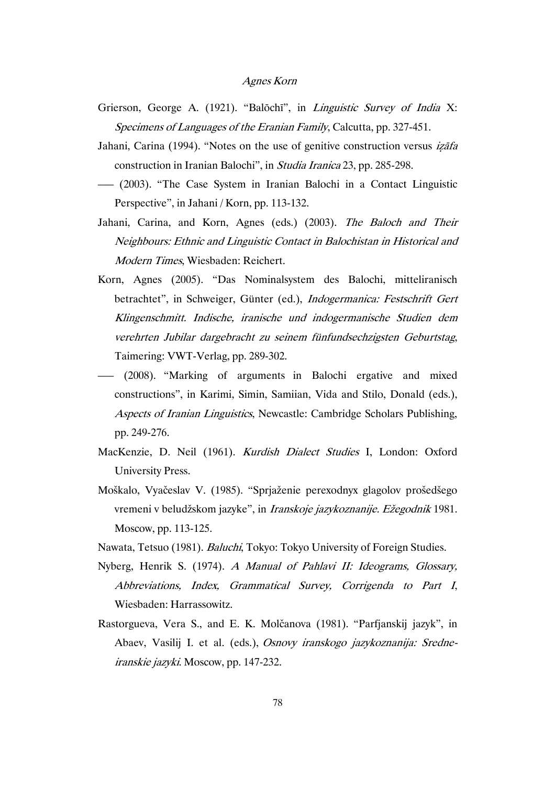- Grierson, George A. (1921). "Balōchī", in Linguistic Survey of India X: Specimens of Languages of the Eranian Family, Calcutta, pp. 327-451.
- Jahani, Carina (1994). "Notes on the use of genitive construction versus *izafa* construction in Iranian Balochi", in Studia Iranica 23, pp. 285-298.
- ––– (2003). "The Case System in Iranian Balochi in a Contact Linguistic Perspective", in Jahani / Korn, pp. 113-132.
- Jahani, Carina, and Korn, Agnes (eds.) (2003). The Baloch and Their Neighbours: Ethnic and Linguistic Contact in Balochistan in Historical and Modern Times, Wiesbaden: Reichert.
- Korn, Agnes (2005). "Das Nominalsystem des Balochi, mitteliranisch betrachtet", in Schweiger, Günter (ed.), Indogermanica: Festschrift Gert Klingenschmitt. Indische, iranische und indogermanische Studien dem verehrten Jubilar dargebracht zu seinem fünfundsechzigsten Geburtstag, Taimering: VWT-Verlag, pp. 289-302.
- ––– (2008). "Marking of arguments in Balochi ergative and mixed constructions", in Karimi, Simin, Samiian, Vida and Stilo, Donald (eds.), Aspects of Iranian Linguistics, Newcastle: Cambridge Scholars Publishing, pp. 249-276.
- MacKenzie, D. Neil (1961). Kurdish Dialect Studies I, London: Oxford University Press.
- Moškalo, Vyačeslav V. (1985). "Sprjaženie perexodnyx glagolov prošedšego vremeni v beludžskom jazyke", in Iranskoje jazykoznanije. Ežegodnik 1981. Moscow, pp. 113-125.
- Nawata, Tetsuo (1981). Baluchi, Tokyo: Tokyo University of Foreign Studies.
- Nyberg, Henrik S. (1974). A Manual of Pahlavi II: Ideograms, Glossary, Abbreviations, Index, Grammatical Survey, Corrigenda to Part I, Wiesbaden: Harrassowitz.
- Rastorgueva, Vera S., and E. K. Molčanova (1981). "Parfjanskij jazyk", in Abaev, Vasilij I. et al. (eds.), Osnovy iranskogo jazykoznanija: Sredneiranskie jazyki. Moscow, pp. 147-232.